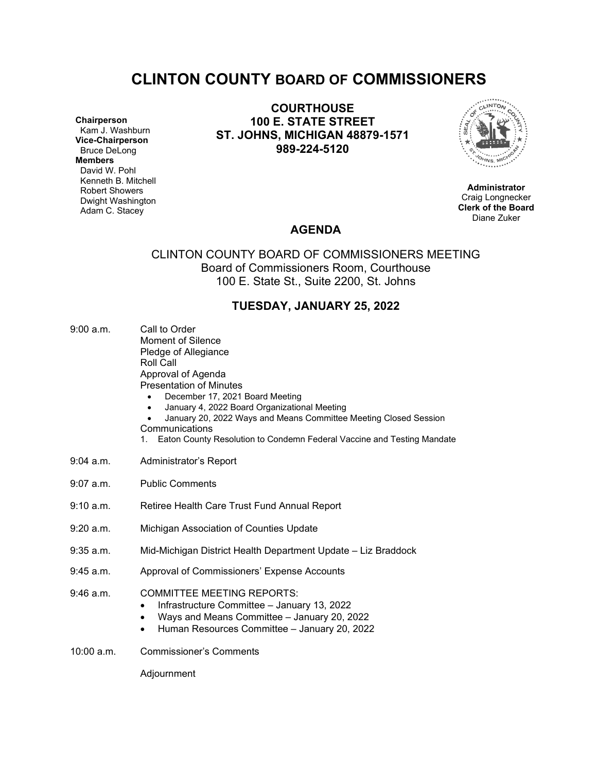# **CLINTON COUNTY BOARD OF COMMISSIONERS**

**Chairperson** Kam J. Washburn **Vice-Chairperson** Bruce DeLong **Members** David W. Pohl Kenneth B. Mitchell Robert Showers Dwight Washington Adam C. Stacey

**COURTHOUSE 100 E. STATE STREET ST. JOHNS, MICHIGAN 48879-1571 989-224-5120**



**Administrator** Craig Longnecker **Clerk of the Board** Diane Zuker

# **AGENDA**

# CLINTON COUNTY BOARD OF COMMISSIONERS MEETING Board of Commissioners Room, Courthouse 100 E. State St., Suite 2200, St. Johns

# **TUESDAY, JANUARY 25, 2022**

| 9:00 a.m.   | Call to Order<br><b>Moment of Silence</b><br>Pledge of Allegiance<br>Roll Call<br>Approval of Agenda<br><b>Presentation of Minutes</b><br>December 17, 2021 Board Meeting<br>January 4, 2022 Board Organizational Meeting<br>January 20, 2022 Ways and Means Committee Meeting Closed Session<br>Communications<br>Eaton County Resolution to Condemn Federal Vaccine and Testing Mandate<br>1. |  |  |
|-------------|-------------------------------------------------------------------------------------------------------------------------------------------------------------------------------------------------------------------------------------------------------------------------------------------------------------------------------------------------------------------------------------------------|--|--|
| $9:04$ a.m. | Administrator's Report                                                                                                                                                                                                                                                                                                                                                                          |  |  |
| $9:07$ a.m. | <b>Public Comments</b>                                                                                                                                                                                                                                                                                                                                                                          |  |  |
| 9:10 a.m.   | Retiree Health Care Trust Fund Annual Report                                                                                                                                                                                                                                                                                                                                                    |  |  |
| $9:20$ a.m. | Michigan Association of Counties Update                                                                                                                                                                                                                                                                                                                                                         |  |  |
| $9:35$ a.m. | Mid-Michigan District Health Department Update - Liz Braddock                                                                                                                                                                                                                                                                                                                                   |  |  |
| $9:45$ a.m. | Approval of Commissioners' Expense Accounts                                                                                                                                                                                                                                                                                                                                                     |  |  |
| $9:46$ a.m. | <b>COMMITTEE MEETING REPORTS:</b><br>Infrastructure Committee - January 13, 2022<br>Ways and Means Committee - January 20, 2022<br>٠<br>Human Resources Committee - January 20, 2022<br>$\bullet$                                                                                                                                                                                               |  |  |
| 10:00 a.m.  | <b>Commissioner's Comments</b>                                                                                                                                                                                                                                                                                                                                                                  |  |  |
|             | Adjournment                                                                                                                                                                                                                                                                                                                                                                                     |  |  |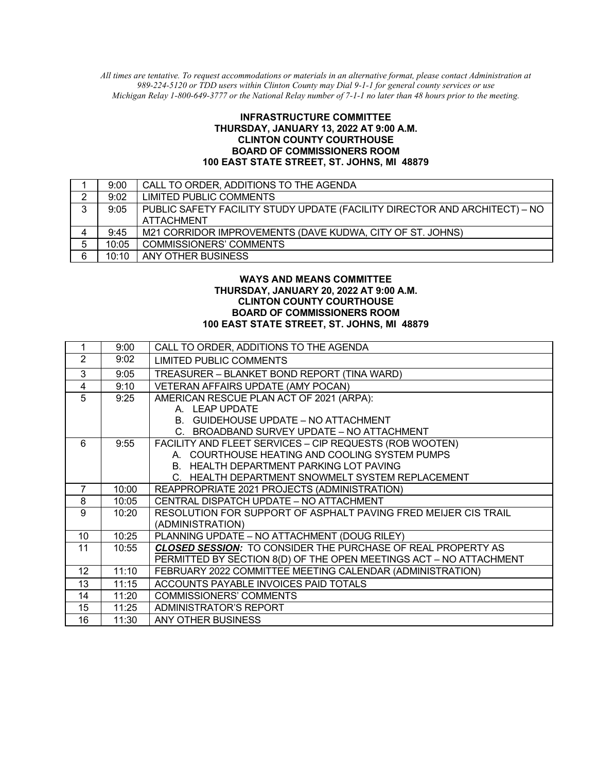*All times are tentative. To request accommodations or materials in an alternative format, please contact Administration at 989-224-5120 or TDD users within Clinton County may Dial 9-1-1 for general county services or use Michigan Relay 1-800-649-3777 or the National Relay number of 7-1-1 no later than 48 hours prior to the meeting.*

### **INFRASTRUCTURE COMMITTEE THURSDAY, JANUARY 13, 2022 AT 9:00 A.M. CLINTON COUNTY COURTHOUSE BOARD OF COMMISSIONERS ROOM 100 EAST STATE STREET, ST. JOHNS, MI 48879**

|   | 9:00  | CALL TO ORDER, ADDITIONS TO THE AGENDA                                     |
|---|-------|----------------------------------------------------------------------------|
| 2 | 9:02  | LIMITED PUBLIC COMMENTS                                                    |
| 3 | 9:05  | PUBLIC SAFETY FACILITY STUDY UPDATE (FACILITY DIRECTOR AND ARCHITECT) – NO |
|   |       | <b>ATTACHMENT</b>                                                          |
| 4 | 9:45  | M21 CORRIDOR IMPROVEMENTS (DAVE KUDWA, CITY OF ST. JOHNS)                  |
| 5 | 10:05 | <b>COMMISSIONERS' COMMENTS</b>                                             |
| 6 | 10:10 | ANY OTHER BUSINESS                                                         |

### **WAYS AND MEANS COMMITTEE THURSDAY, JANUARY 20, 2022 AT 9:00 A.M. CLINTON COUNTY COURTHOUSE BOARD OF COMMISSIONERS ROOM 100 EAST STATE STREET, ST. JOHNS, MI 48879**

| 1               | 9:00  | CALL TO ORDER, ADDITIONS TO THE AGENDA                              |
|-----------------|-------|---------------------------------------------------------------------|
| $\overline{2}$  | 9:02  | <b>LIMITED PUBLIC COMMENTS</b>                                      |
| 3               | 9:05  | TREASURER - BLANKET BOND REPORT (TINA WARD)                         |
| 4               | 9:10  | VETERAN AFFAIRS UPDATE (AMY POCAN)                                  |
| 5               | 9:25  | AMERICAN RESCUE PLAN ACT OF 2021 (ARPA):                            |
|                 |       | A. LEAP UPDATE                                                      |
|                 |       | B. GUIDEHOUSE UPDATE - NO ATTACHMENT                                |
|                 |       | C. BROADBAND SURVEY UPDATE – NO ATTACHMENT                          |
| 6               | 9:55  | FACILITY AND FLEET SERVICES - CIP REQUESTS (ROB WOOTEN)             |
|                 |       | A. COURTHOUSE HEATING AND COOLING SYSTEM PUMPS                      |
|                 |       | B. HEALTH DEPARTMENT PARKING LOT PAVING                             |
|                 |       | C. HEALTH DEPARTMENT SNOWMELT SYSTEM REPLACEMENT                    |
| $\overline{7}$  | 10:00 | REAPPROPRIATE 2021 PROJECTS (ADMINISTRATION)                        |
| 8               | 10:05 | CENTRAL DISPATCH UPDATE - NO ATTACHMENT                             |
|                 |       |                                                                     |
| 9               | 10:20 | RESOLUTION FOR SUPPORT OF ASPHALT PAVING FRED MEIJER CIS TRAIL      |
|                 |       | (ADMINISTRATION)                                                    |
| 10 <sup>1</sup> | 10:25 | PLANNING UPDATE - NO ATTACHMENT (DOUG RILEY)                        |
| 11              | 10:55 | <b>CLOSED SESSION: TO CONSIDER THE PURCHASE OF REAL PROPERTY AS</b> |
|                 |       | PERMITTED BY SECTION 8(D) OF THE OPEN MEETINGS ACT - NO ATTACHMENT  |
| 12              | 11:10 | FEBRUARY 2022 COMMITTEE MEETING CALENDAR (ADMINISTRATION)           |
| 13              | 11:15 | ACCOUNTS PAYABLE INVOICES PAID TOTALS                               |
| 14              | 11:20 | <b>COMMISSIONERS' COMMENTS</b>                                      |
| 15              | 11:25 | ADMINISTRATOR'S REPORT                                              |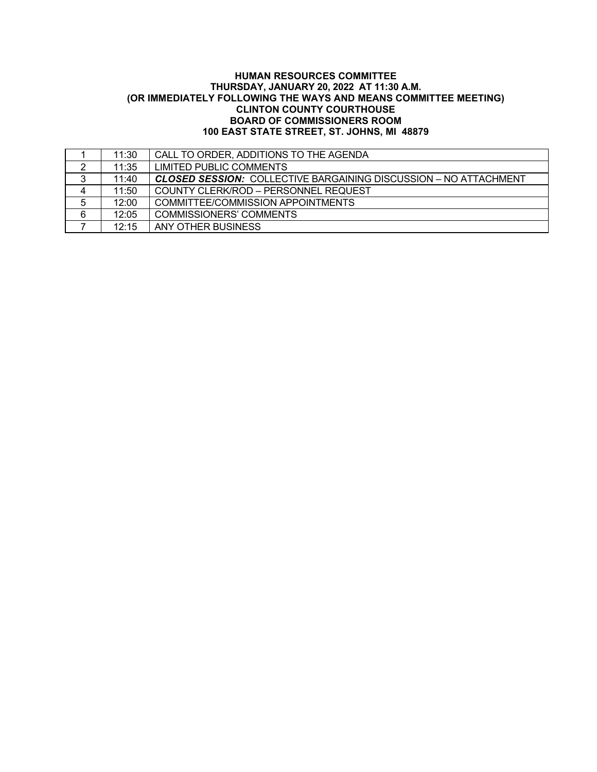## **HUMAN RESOURCES COMMITTEE THURSDAY, JANUARY 20, 2022 AT 11:30 A.M. (OR IMMEDIATELY FOLLOWING THE WAYS AND MEANS COMMITTEE MEETING) CLINTON COUNTY COURTHOUSE BOARD OF COMMISSIONERS ROOM 100 EAST STATE STREET, ST. JOHNS, MI 48879**

|   | 11:30 | CALL TO ORDER, ADDITIONS TO THE AGENDA                                  |
|---|-------|-------------------------------------------------------------------------|
| 2 | 11:35 | LIMITED PUBLIC COMMENTS                                                 |
| 3 | 11:40 | <b>CLOSED SESSION:</b> COLLECTIVE BARGAINING DISCUSSION – NO ATTACHMENT |
| 4 | 11:50 | COUNTY CLERK/ROD - PERSONNEL REQUEST                                    |
| 5 | 12:00 | COMMITTEE/COMMISSION APPOINTMENTS                                       |
| 6 | 12:05 | COMMISSIONERS' COMMENTS                                                 |
|   | 12:15 | ANY OTHER BUSINESS                                                      |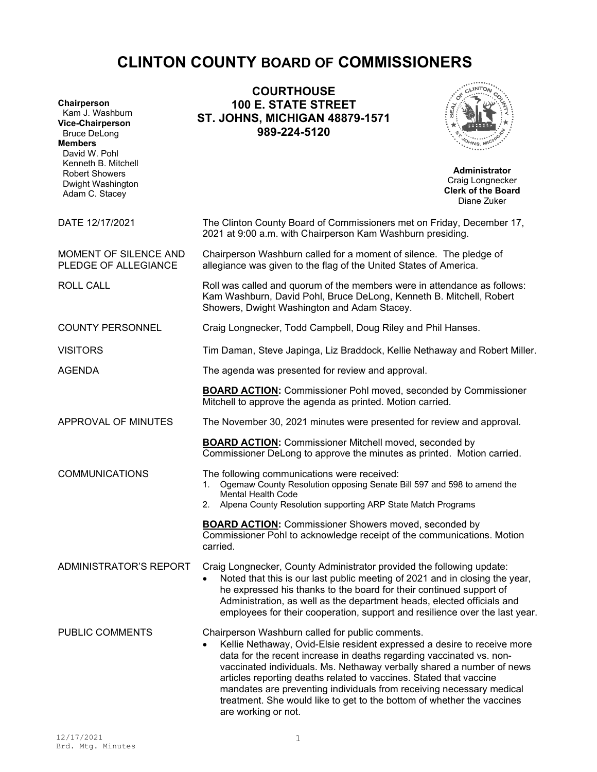# **CLINTON COUNTY BOARD OF COMMISSIONERS**

| Chairperson<br>Kam J. Washburn<br><b>Vice-Chairperson</b><br><b>Bruce DeLong</b><br><b>Members</b><br>David W. Pohl                                                                                                                                                                                                                                                                                                                                                                                                                            | <b>COURTHOUSE</b><br><b>100 E. STATE STREET</b><br><b>ST. JOHNS, MICHIGAN 48879-1571</b><br>989-224-5120                                                                                                                                                                                                                                                                             |                                                                                      |  |
|------------------------------------------------------------------------------------------------------------------------------------------------------------------------------------------------------------------------------------------------------------------------------------------------------------------------------------------------------------------------------------------------------------------------------------------------------------------------------------------------------------------------------------------------|--------------------------------------------------------------------------------------------------------------------------------------------------------------------------------------------------------------------------------------------------------------------------------------------------------------------------------------------------------------------------------------|--------------------------------------------------------------------------------------|--|
| Kenneth B. Mitchell<br><b>Robert Showers</b><br>Dwight Washington<br>Adam C. Stacey                                                                                                                                                                                                                                                                                                                                                                                                                                                            |                                                                                                                                                                                                                                                                                                                                                                                      | <b>Administrator</b><br>Craig Longnecker<br><b>Clerk of the Board</b><br>Diane Zuker |  |
| DATE 12/17/2021                                                                                                                                                                                                                                                                                                                                                                                                                                                                                                                                | The Clinton County Board of Commissioners met on Friday, December 17,<br>2021 at 9:00 a.m. with Chairperson Kam Washburn presiding.                                                                                                                                                                                                                                                  |                                                                                      |  |
| MOMENT OF SILENCE AND<br>Chairperson Washburn called for a moment of silence. The pledge of<br>allegiance was given to the flag of the United States of America.<br>PLEDGE OF ALLEGIANCE                                                                                                                                                                                                                                                                                                                                                       |                                                                                                                                                                                                                                                                                                                                                                                      |                                                                                      |  |
| <b>ROLL CALL</b>                                                                                                                                                                                                                                                                                                                                                                                                                                                                                                                               | Roll was called and quorum of the members were in attendance as follows:<br>Kam Washburn, David Pohl, Bruce DeLong, Kenneth B. Mitchell, Robert<br>Showers, Dwight Washington and Adam Stacey.                                                                                                                                                                                       |                                                                                      |  |
| <b>COUNTY PERSONNEL</b>                                                                                                                                                                                                                                                                                                                                                                                                                                                                                                                        | Craig Longnecker, Todd Campbell, Doug Riley and Phil Hanses.                                                                                                                                                                                                                                                                                                                         |                                                                                      |  |
| <b>VISITORS</b>                                                                                                                                                                                                                                                                                                                                                                                                                                                                                                                                | Tim Daman, Steve Japinga, Liz Braddock, Kellie Nethaway and Robert Miller.                                                                                                                                                                                                                                                                                                           |                                                                                      |  |
| <b>AGENDA</b>                                                                                                                                                                                                                                                                                                                                                                                                                                                                                                                                  | The agenda was presented for review and approval.                                                                                                                                                                                                                                                                                                                                    |                                                                                      |  |
|                                                                                                                                                                                                                                                                                                                                                                                                                                                                                                                                                | <b>BOARD ACTION:</b> Commissioner Pohl moved, seconded by Commissioner<br>Mitchell to approve the agenda as printed. Motion carried.                                                                                                                                                                                                                                                 |                                                                                      |  |
| APPROVAL OF MINUTES                                                                                                                                                                                                                                                                                                                                                                                                                                                                                                                            |                                                                                                                                                                                                                                                                                                                                                                                      | The November 30, 2021 minutes were presented for review and approval.                |  |
|                                                                                                                                                                                                                                                                                                                                                                                                                                                                                                                                                | <b>BOARD ACTION:</b> Commissioner Mitchell moved, seconded by<br>Commissioner DeLong to approve the minutes as printed. Motion carried.                                                                                                                                                                                                                                              |                                                                                      |  |
| <b>COMMUNICATIONS</b>                                                                                                                                                                                                                                                                                                                                                                                                                                                                                                                          | The following communications were received:<br>Ogemaw County Resolution opposing Senate Bill 597 and 598 to amend the<br>1.<br>Mental Health Code<br>2. Alpena County Resolution supporting ARP State Match Programs                                                                                                                                                                 |                                                                                      |  |
|                                                                                                                                                                                                                                                                                                                                                                                                                                                                                                                                                | <b>BOARD ACTION:</b> Commissioner Showers moved, seconded by<br>Commissioner Pohl to acknowledge receipt of the communications. Motion<br>carried.                                                                                                                                                                                                                                   |                                                                                      |  |
| <b>ADMINISTRATOR'S REPORT</b>                                                                                                                                                                                                                                                                                                                                                                                                                                                                                                                  | Craig Longnecker, County Administrator provided the following update:<br>Noted that this is our last public meeting of 2021 and in closing the year,<br>he expressed his thanks to the board for their continued support of<br>Administration, as well as the department heads, elected officials and<br>employees for their cooperation, support and resilience over the last year. |                                                                                      |  |
| PUBLIC COMMENTS<br>Chairperson Washburn called for public comments.<br>Kellie Nethaway, Ovid-Elsie resident expressed a desire to receive more<br>data for the recent increase in deaths regarding vaccinated vs. non-<br>vaccinated individuals. Ms. Nethaway verbally shared a number of news<br>articles reporting deaths related to vaccines. Stated that vaccine<br>mandates are preventing individuals from receiving necessary medical<br>treatment. She would like to get to the bottom of whether the vaccines<br>are working or not. |                                                                                                                                                                                                                                                                                                                                                                                      |                                                                                      |  |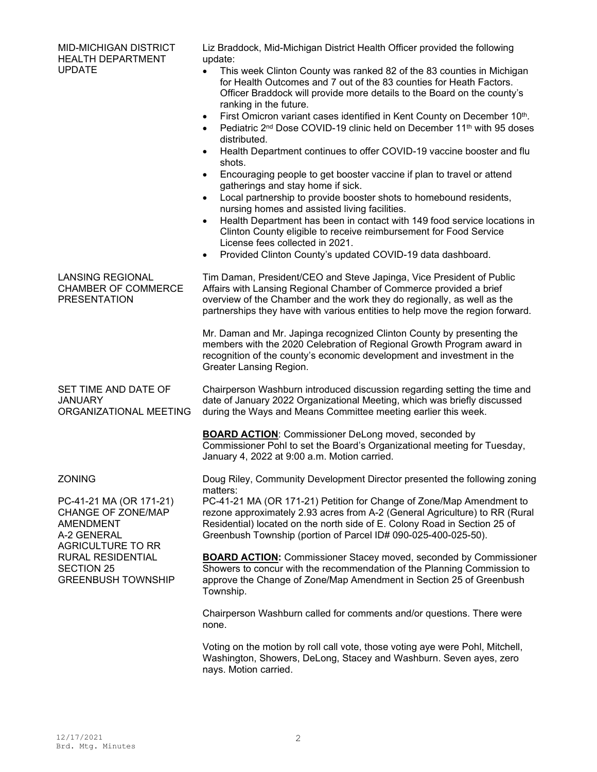| <b>MID-MICHIGAN DISTRICT</b><br><b>HEALTH DEPARTMENT</b><br><b>UPDATE</b>                                                                                        | Liz Braddock, Mid-Michigan District Health Officer provided the following<br>update:<br>This week Clinton County was ranked 82 of the 83 counties in Michigan<br>$\bullet$<br>for Health Outcomes and 7 out of the 83 counties for Heath Factors.<br>Officer Braddock will provide more details to the Board on the county's<br>ranking in the future.<br>First Omicron variant cases identified in Kent County on December 10th.<br>$\bullet$<br>Pediatric 2 <sup>nd</sup> Dose COVID-19 clinic held on December 11 <sup>th</sup> with 95 doses<br>$\bullet$<br>distributed.<br>Health Department continues to offer COVID-19 vaccine booster and flu<br>$\bullet$<br>shots.<br>Encouraging people to get booster vaccine if plan to travel or attend<br>$\bullet$<br>gatherings and stay home if sick.<br>Local partnership to provide booster shots to homebound residents,<br>$\bullet$<br>nursing homes and assisted living facilities.<br>Health Department has been in contact with 149 food service locations in<br>$\bullet$<br>Clinton County eligible to receive reimbursement for Food Service<br>License fees collected in 2021.<br>Provided Clinton County's updated COVID-19 data dashboard.<br>$\bullet$ |
|------------------------------------------------------------------------------------------------------------------------------------------------------------------|--------------------------------------------------------------------------------------------------------------------------------------------------------------------------------------------------------------------------------------------------------------------------------------------------------------------------------------------------------------------------------------------------------------------------------------------------------------------------------------------------------------------------------------------------------------------------------------------------------------------------------------------------------------------------------------------------------------------------------------------------------------------------------------------------------------------------------------------------------------------------------------------------------------------------------------------------------------------------------------------------------------------------------------------------------------------------------------------------------------------------------------------------------------------------------------------------------------------------|
| <b>LANSING REGIONAL</b><br><b>CHAMBER OF COMMERCE</b><br><b>PRESENTATION</b>                                                                                     | Tim Daman, President/CEO and Steve Japinga, Vice President of Public<br>Affairs with Lansing Regional Chamber of Commerce provided a brief<br>overview of the Chamber and the work they do regionally, as well as the<br>partnerships they have with various entities to help move the region forward.<br>Mr. Daman and Mr. Japinga recognized Clinton County by presenting the<br>members with the 2020 Celebration of Regional Growth Program award in<br>recognition of the county's economic development and investment in the                                                                                                                                                                                                                                                                                                                                                                                                                                                                                                                                                                                                                                                                                       |
| SET TIME AND DATE OF<br><b>JANUARY</b><br>ORGANIZATIONAL MEETING                                                                                                 | Greater Lansing Region.<br>Chairperson Washburn introduced discussion regarding setting the time and<br>date of January 2022 Organizational Meeting, which was briefly discussed<br>during the Ways and Means Committee meeting earlier this week.<br><b>BOARD ACTION:</b> Commissioner DeLong moved, seconded by<br>Commissioner Pohl to set the Board's Organizational meeting for Tuesday,<br>January 4, 2022 at 9:00 a.m. Motion carried.                                                                                                                                                                                                                                                                                                                                                                                                                                                                                                                                                                                                                                                                                                                                                                            |
| <b>ZONING</b><br>PC-41-21 MA (OR 171-21)<br>CHANGE OF ZONE/MAP<br><b>AMENDMENT</b><br>A-2 GENERAL<br>AGRICULTURE TO RR<br>RURAL RESIDENTIAL<br><b>SECTION 25</b> | Doug Riley, Community Development Director presented the following zoning<br>matters:<br>PC-41-21 MA (OR 171-21) Petition for Change of Zone/Map Amendment to<br>rezone approximately 2.93 acres from A-2 (General Agriculture) to RR (Rural<br>Residential) located on the north side of E. Colony Road in Section 25 of<br>Greenbush Township (portion of Parcel ID# 090-025-400-025-50).<br><b>BOARD ACTION: Commissioner Stacey moved, seconded by Commissioner</b><br>Showers to concur with the recommendation of the Planning Commission to                                                                                                                                                                                                                                                                                                                                                                                                                                                                                                                                                                                                                                                                       |
| <b>GREENBUSH TOWNSHIP</b>                                                                                                                                        | approve the Change of Zone/Map Amendment in Section 25 of Greenbush<br>Township.<br>Chairperson Washburn called for comments and/or questions. There were<br>none.<br>Voting on the motion by roll call vote, those voting aye were Pohl, Mitchell,<br>Washington, Showers, DeLong, Stacey and Washburn. Seven ayes, zero<br>nays. Motion carried.                                                                                                                                                                                                                                                                                                                                                                                                                                                                                                                                                                                                                                                                                                                                                                                                                                                                       |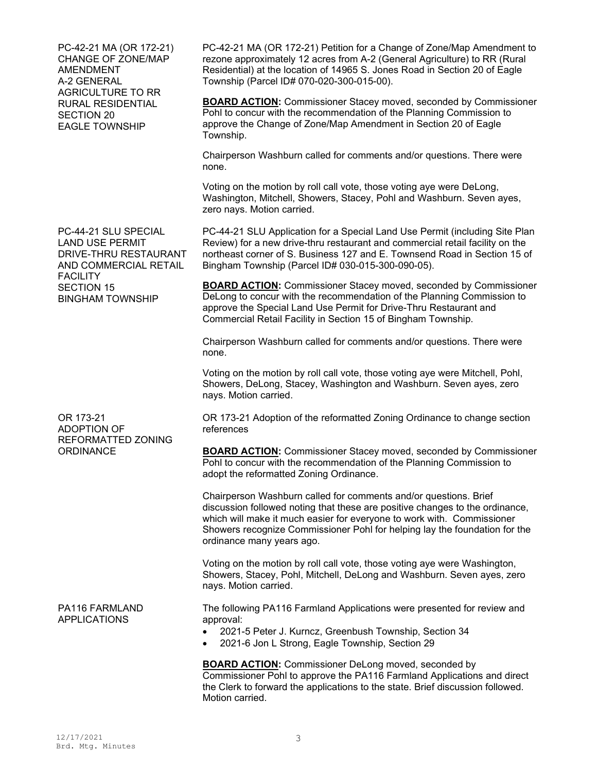PC-42-21 MA (OR 172-21) CHANGE OF ZONE/MAP AMENDMENT A-2 GENERAL AGRICULTURE TO RR RURAL RESIDENTIAL SECTION 20 EAGLE TOWNSHIP

PC-44-21 SLU SPECIAL LAND USE PERMIT DRIVE-THRU RESTAURANT AND COMMERCIAL RETAIL FACILITY SECTION 15 BINGHAM TOWNSHIP

OR 173-21 ADOPTION OF REFORMATTED ZONING **ORDINANCE** 

PA116 FARMLAND APPLICATIONS

PC-42-21 MA (OR 172-21) Petition for a Change of Zone/Map Amendment to rezone approximately 12 acres from A-2 (General Agriculture) to RR (Rural Residential) at the location of 14965 S. Jones Road in Section 20 of Eagle Township (Parcel ID# 070-020-300-015-00).

**BOARD ACTION:** Commissioner Stacey moved, seconded by Commissioner Pohl to concur with the recommendation of the Planning Commission to approve the Change of Zone/Map Amendment in Section 20 of Eagle Township.

Chairperson Washburn called for comments and/or questions. There were none.

Voting on the motion by roll call vote, those voting aye were DeLong, Washington, Mitchell, Showers, Stacey, Pohl and Washburn. Seven ayes, zero nays. Motion carried.

PC-44-21 SLU Application for a Special Land Use Permit (including Site Plan Review) for a new drive-thru restaurant and commercial retail facility on the northeast corner of S. Business 127 and E. Townsend Road in Section 15 of Bingham Township (Parcel ID# 030-015-300-090-05).

**BOARD ACTION:** Commissioner Stacey moved, seconded by Commissioner DeLong to concur with the recommendation of the Planning Commission to approve the Special Land Use Permit for Drive-Thru Restaurant and Commercial Retail Facility in Section 15 of Bingham Township.

Chairperson Washburn called for comments and/or questions. There were none.

Voting on the motion by roll call vote, those voting aye were Mitchell, Pohl, Showers, DeLong, Stacey, Washington and Washburn. Seven ayes, zero nays. Motion carried.

OR 173-21 Adoption of the reformatted Zoning Ordinance to change section references

**BOARD ACTION:** Commissioner Stacey moved, seconded by Commissioner Pohl to concur with the recommendation of the Planning Commission to adopt the reformatted Zoning Ordinance.

Chairperson Washburn called for comments and/or questions. Brief discussion followed noting that these are positive changes to the ordinance, which will make it much easier for everyone to work with. Commissioner Showers recognize Commissioner Pohl for helping lay the foundation for the ordinance many years ago.

Voting on the motion by roll call vote, those voting aye were Washington, Showers, Stacey, Pohl, Mitchell, DeLong and Washburn. Seven ayes, zero nays. Motion carried.

The following PA116 Farmland Applications were presented for review and approval:

- 2021-5 Peter J. Kurncz, Greenbush Township, Section 34
- 2021-6 Jon L Strong, Eagle Township, Section 29

**BOARD ACTION:** Commissioner DeLong moved, seconded by Commissioner Pohl to approve the PA116 Farmland Applications and direct the Clerk to forward the applications to the state. Brief discussion followed. Motion carried.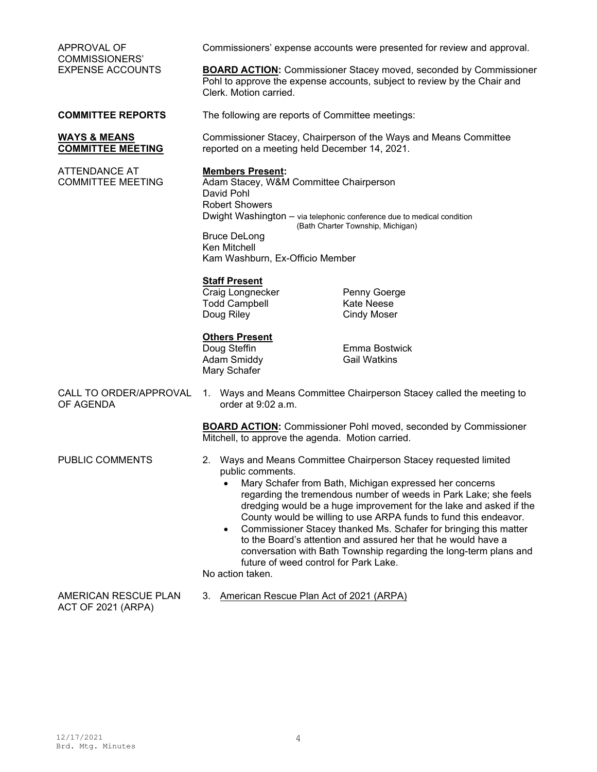| APPROVAL OF                                                           | Commissioners' expense accounts were presented for review and approval.                                                                                                                                                                                                                                                                                                                                                                                                                                                                                                                                                                           |                                                                                                                                                                                                                       |  |
|-----------------------------------------------------------------------|---------------------------------------------------------------------------------------------------------------------------------------------------------------------------------------------------------------------------------------------------------------------------------------------------------------------------------------------------------------------------------------------------------------------------------------------------------------------------------------------------------------------------------------------------------------------------------------------------------------------------------------------------|-----------------------------------------------------------------------------------------------------------------------------------------------------------------------------------------------------------------------|--|
| <b>COMMISSIONERS'</b><br><b>EXPENSE ACCOUNTS</b>                      | <b>BOARD ACTION:</b> Commissioner Stacey moved, seconded by Commissioner<br>Pohl to approve the expense accounts, subject to review by the Chair and<br>Clerk. Motion carried.                                                                                                                                                                                                                                                                                                                                                                                                                                                                    |                                                                                                                                                                                                                       |  |
| <b>COMMITTEE REPORTS</b>                                              | The following are reports of Committee meetings:                                                                                                                                                                                                                                                                                                                                                                                                                                                                                                                                                                                                  |                                                                                                                                                                                                                       |  |
| <b>WAYS &amp; MEANS</b><br><b>COMMITTEE MEETING</b>                   | Commissioner Stacey, Chairperson of the Ways and Means Committee<br>reported on a meeting held December 14, 2021.                                                                                                                                                                                                                                                                                                                                                                                                                                                                                                                                 |                                                                                                                                                                                                                       |  |
| <b>ATTENDANCE AT</b><br><b>COMMITTEE MEETING</b>                      | <b>Members Present:</b><br>Adam Stacey, W&M Committee Chairperson<br>David Pohl<br><b>Robert Showers</b><br><b>Bruce DeLong</b><br>Ken Mitchell<br>Kam Washburn, Ex-Officio Member<br><b>Staff Present</b><br>Craig Longnecker<br><b>Todd Campbell</b><br>Doug Riley<br><b>Others Present</b><br>Doug Steffin<br><b>Adam Smiddy</b><br>Mary Schafer                                                                                                                                                                                                                                                                                               | Dwight Washington - via telephonic conference due to medical condition<br>(Bath Charter Township, Michigan)<br>Penny Goerge<br><b>Kate Neese</b><br><b>Cindy Moser</b><br><b>Emma Bostwick</b><br><b>Gail Watkins</b> |  |
| CALL TO ORDER/APPROVAL<br>OF AGENDA                                   | 1. Ways and Means Committee Chairperson Stacey called the meeting to<br>order at 9:02 a.m.                                                                                                                                                                                                                                                                                                                                                                                                                                                                                                                                                        |                                                                                                                                                                                                                       |  |
|                                                                       | Mitchell, to approve the agenda. Motion carried.                                                                                                                                                                                                                                                                                                                                                                                                                                                                                                                                                                                                  | <b>BOARD ACTION:</b> Commissioner Pohl moved, seconded by Commissioner                                                                                                                                                |  |
| PUBLIC COMMENTS                                                       | 2. Ways and Means Committee Chairperson Stacey requested limited<br>public comments.<br>Mary Schafer from Bath, Michigan expressed her concerns<br>regarding the tremendous number of weeds in Park Lake; she feels<br>dredging would be a huge improvement for the lake and asked if the<br>County would be willing to use ARPA funds to fund this endeavor.<br>Commissioner Stacey thanked Ms. Schafer for bringing this matter<br>$\bullet$<br>to the Board's attention and assured her that he would have a<br>conversation with Bath Township regarding the long-term plans and<br>future of weed control for Park Lake.<br>No action taken. |                                                                                                                                                                                                                       |  |
| AMERICAN RESCUE PLAN<br>American Rescue Plan Act of 2021 (ARPA)<br>3. |                                                                                                                                                                                                                                                                                                                                                                                                                                                                                                                                                                                                                                                   |                                                                                                                                                                                                                       |  |

ACT OF 2021 (ARPA)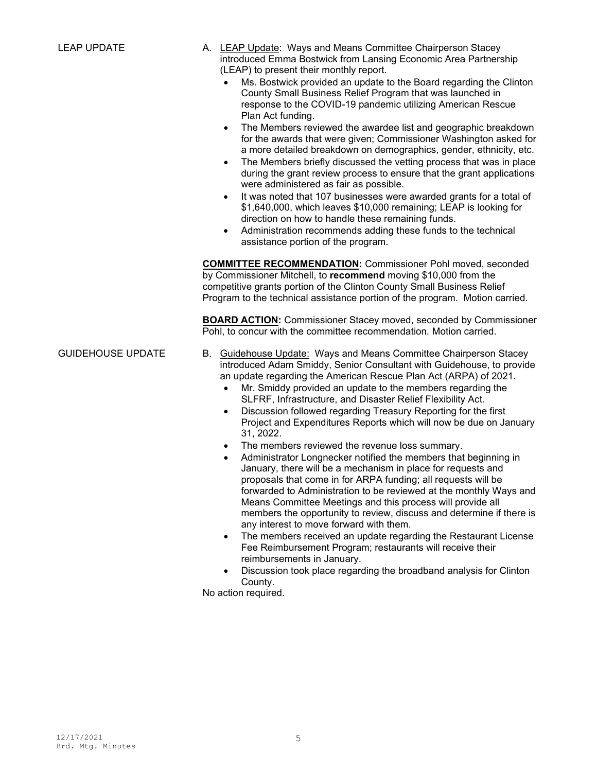- LEAP UPDATE **A.** LEAP Update: Ways and Means Committee Chairperson Stacey introduced Emma Bostwick from Lansing Economic Area Partnership (LEAP) to present their monthly report.
	- Ms. Bostwick provided an update to the Board regarding the Clinton County Small Business Relief Program that was launched in response to the COVID-19 pandemic utilizing American Rescue Plan Act funding.
	- The Members reviewed the awardee list and geographic breakdown for the awards that were given; Commissioner Washington asked for a more detailed breakdown on demographics, gender, ethnicity, etc.
	- The Members briefly discussed the vetting process that was in place during the grant review process to ensure that the grant applications were administered as fair as possible.
	- It was noted that 107 businesses were awarded grants for a total of \$1,640,000, which leaves \$10,000 remaining; LEAP is looking for direction on how to handle these remaining funds.
	- Administration recommends adding these funds to the technical assistance portion of the program.

**COMMITTEE RECOMMENDATION:** Commissioner Pohl moved, seconded by Commissioner Mitchell, to **recommend** moving \$10,000 from the competitive grants portion of the Clinton County Small Business Relief Program to the technical assistance portion of the program. Motion carried.

**BOARD ACTION:** Commissioner Stacey moved, seconded by Commissioner Pohl, to concur with the committee recommendation. Motion carried.

- GUIDEHOUSE UPDATE B. Guidehouse Update: Ways and Means Committee Chairperson Stacey introduced Adam Smiddy, Senior Consultant with Guidehouse, to provide an update regarding the American Rescue Plan Act (ARPA) of 2021.
	- Mr. Smiddy provided an update to the members regarding the SLFRF, Infrastructure, and Disaster Relief Flexibility Act.
	- Discussion followed regarding Treasury Reporting for the first Project and Expenditures Reports which will now be due on January 31, 2022.
	- The members reviewed the revenue loss summary.
	- Administrator Longnecker notified the members that beginning in January, there will be a mechanism in place for requests and proposals that come in for ARPA funding; all requests will be forwarded to Administration to be reviewed at the monthly Ways and Means Committee Meetings and this process will provide all members the opportunity to review, discuss and determine if there is any interest to move forward with them.
	- The members received an update regarding the Restaurant License Fee Reimbursement Program; restaurants will receive their reimbursements in January.
	- Discussion took place regarding the broadband analysis for Clinton County.

No action required.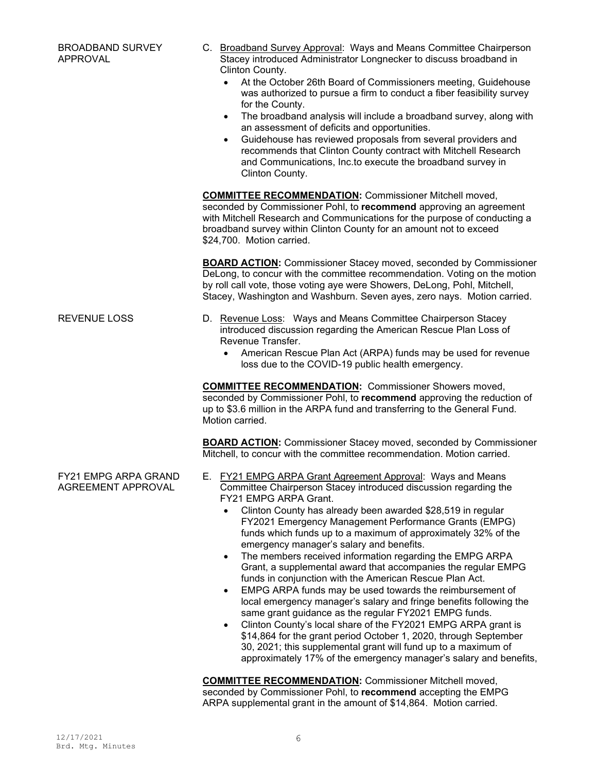- C. Broadband Survey Approval:Ways and Means Committee Chairperson Stacey introduced Administrator Longnecker to discuss broadband in Clinton County.
	- At the October 26th Board of Commissioners meeting, Guidehouse was authorized to pursue a firm to conduct a fiber feasibility survey for the County.
	- The broadband analysis will include a broadband survey, along with an assessment of deficits and opportunities.
	- Guidehouse has reviewed proposals from several providers and recommends that Clinton County contract with Mitchell Research and Communications, Inc.to execute the broadband survey in Clinton County.

**COMMITTEE RECOMMENDATION:** Commissioner Mitchell moved, seconded by Commissioner Pohl, to **recommend** approving an agreement with Mitchell Research and Communications for the purpose of conducting a broadband survey within Clinton County for an amount not to exceed \$24,700. Motion carried.

**BOARD ACTION:** Commissioner Stacey moved, seconded by Commissioner DeLong, to concur with the committee recommendation. Voting on the motion by roll call vote, those voting aye were Showers, DeLong, Pohl, Mitchell, Stacey, Washington and Washburn. Seven ayes, zero nays. Motion carried.

### REVENUE LOSS D. Revenue Loss:Ways and Means Committee Chairperson Stacey introduced discussion regarding the American Rescue Plan Loss of Revenue Transfer.

• American Rescue Plan Act (ARPA) funds may be used for revenue loss due to the COVID-19 public health emergency.

**COMMITTEE RECOMMENDATION:** Commissioner Showers moved, seconded by Commissioner Pohl, to **recommend** approving the reduction of up to \$3.6 million in the ARPA fund and transferring to the General Fund. Motion carried.

**BOARD ACTION:** Commissioner Stacey moved, seconded by Commissioner Mitchell, to concur with the committee recommendation. Motion carried.

- E. FY21 EMPG ARPA Grant Agreement Approval:Ways and Means Committee Chairperson Stacey introduced discussion regarding the FY21 EMPG ARPA Grant.
	- Clinton County has already been awarded \$28,519 in regular FY2021 Emergency Management Performance Grants (EMPG) funds which funds up to a maximum of approximately 32% of the emergency manager's salary and benefits.
	- The members received information regarding the EMPG ARPA Grant, a supplemental award that accompanies the regular EMPG funds in conjunction with the American Rescue Plan Act.
	- EMPG ARPA funds may be used towards the reimbursement of local emergency manager's salary and fringe benefits following the same grant guidance as the regular FY2021 EMPG funds.
	- Clinton County's local share of the FY2021 EMPG ARPA grant is \$14,864 for the grant period October 1, 2020, through September 30, 2021; this supplemental grant will fund up to a maximum of approximately 17% of the emergency manager's salary and benefits,

**COMMITTEE RECOMMENDATION:** Commissioner Mitchell moved, seconded by Commissioner Pohl, to **recommend** accepting the EMPG ARPA supplemental grant in the amount of \$14,864. Motion carried.

FY21 EMPG ARPA GRAND AGREEMENT APPROVAL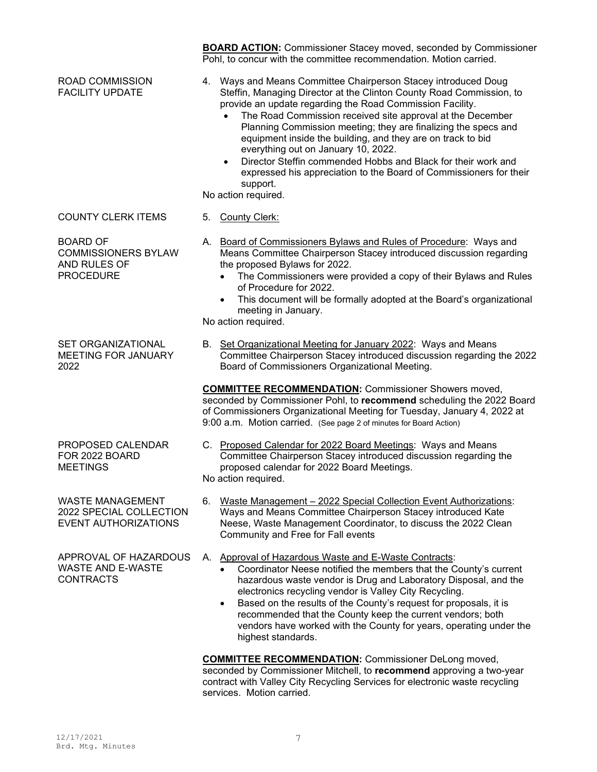Pohl, to concur with the committee recommendation. Motion carried. ROAD COMMISSION FACILITY UPDATE 4. Ways and Means Committee Chairperson Stacey introduced Doug Steffin, Managing Director at the Clinton County Road Commission, to provide an update regarding the Road Commission Facility. The Road Commission received site approval at the December Planning Commission meeting; they are finalizing the specs and equipment inside the building, and they are on track to bid everything out on January 10, 2022. • Director Steffin commended Hobbs and Black for their work and expressed his appreciation to the Board of Commissioners for their support. No action required. COUNTY CLERK ITEMS 5. County Clerk: BOARD OF COMMISSIONERS BYLAW AND RULES OF PROCEDURE A. Board of Commissioners Bylaws and Rules of Procedure:Ways and Means Committee Chairperson Stacey introduced discussion regarding the proposed Bylaws for 2022. • The Commissioners were provided a copy of their Bylaws and Rules of Procedure for 2022. • This document will be formally adopted at the Board's organizational meeting in January. No action required. SET ORGANIZATIONAL MEETING FOR JANUARY 2022 B. Set Organizational Meeting for January 2022:Ways and Means Committee Chairperson Stacey introduced discussion regarding the 2022 Board of Commissioners Organizational Meeting. **COMMITTEE RECOMMENDATION:** Commissioner Showers moved, seconded by Commissioner Pohl, to **recommend** scheduling the 2022 Board of Commissioners Organizational Meeting for Tuesday, January 4, 2022 at 9:00 a.m. Motion carried. (See page 2 of minutes for Board Action) PROPOSED CALENDAR FOR 2022 BOARD **MEETINGS** C. Proposed Calendar for 2022 Board Meetings: Ways and Means Committee Chairperson Stacey introduced discussion regarding the proposed calendar for 2022 Board Meetings. No action required. WASTE MANAGEMENT 2022 SPECIAL COLLECTION EVENT AUTHORIZATIONS 6. Waste Management – 2022 Special Collection Event Authorizations: Ways and Means Committee Chairperson Stacey introduced Kate Neese, Waste Management Coordinator, to discuss the 2022 Clean Community and Free for Fall events APPROVAL OF HAZARDOUS WASTE AND E-WASTE CONTRACTS A. Approval of Hazardous Waste and E-Waste Contracts: • Coordinator Neese notified the members that the County's current hazardous waste vendor is Drug and Laboratory Disposal, and the electronics recycling vendor is Valley City Recycling. • Based on the results of the County's request for proposals, it is recommended that the County keep the current vendors; both vendors have worked with the County for years, operating under the highest standards. **COMMITTEE RECOMMENDATION:** Commissioner DeLong moved, seconded by Commissioner Mitchell, to **recommend** approving a two-year

**BOARD ACTION:** Commissioner Stacey moved, seconded by Commissioner

services. Motion carried.

contract with Valley City Recycling Services for electronic waste recycling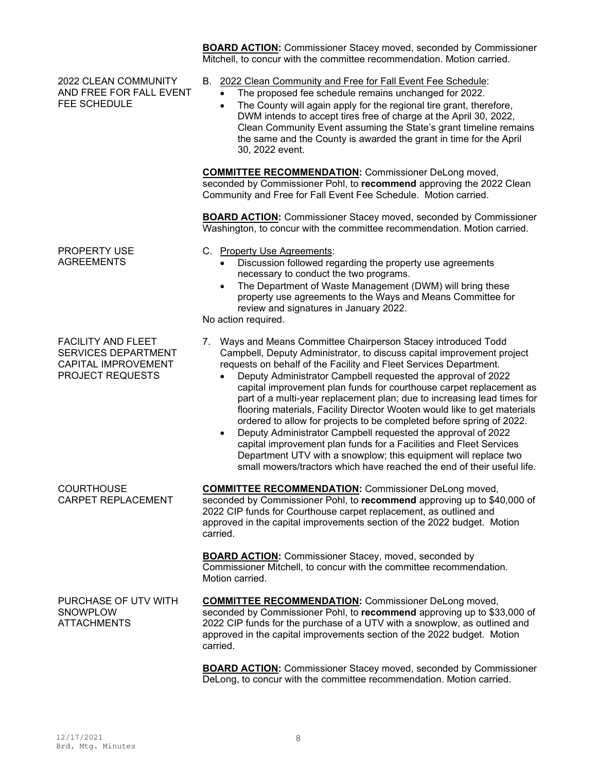2022 CLEAN COMMUNITY AND FREE FOR FALL EVENT FEE SCHEDULE

PROPERTY USE AGREEMENTS

FACILITY AND FLEET SERVICES DEPARTMENT CAPITAL IMPROVEMENT PROJECT REQUESTS

**BOARD ACTION:** Commissioner Stacey moved, seconded by Commissioner Mitchell, to concur with the committee recommendation. Motion carried.

- B. 2022 Clean Community and Free for Fall Event Fee Schedule:
	- The proposed fee schedule remains unchanged for 2022.
	- The County will again apply for the regional tire grant, therefore, DWM intends to accept tires free of charge at the April 30, 2022, Clean Community Event assuming the State's grant timeline remains the same and the County is awarded the grant in time for the April 30, 2022 event.

**COMMITTEE RECOMMENDATION:** Commissioner DeLong moved, seconded by Commissioner Pohl, to **recommend** approving the 2022 Clean Community and Free for Fall Event Fee Schedule. Motion carried.

**BOARD ACTION:** Commissioner Stacey moved, seconded by Commissioner Washington, to concur with the committee recommendation. Motion carried.

- C. Property Use Agreements:
	- Discussion followed regarding the property use agreements necessary to conduct the two programs.
	- The Department of Waste Management (DWM) will bring these property use agreements to the Ways and Means Committee for review and signatures in January 2022.

No action required.

- 7. Ways and Means Committee Chairperson Stacey introduced Todd Campbell, Deputy Administrator, to discuss capital improvement project requests on behalf of the Facility and Fleet Services Department.
	- Deputy Administrator Campbell requested the approval of 2022 capital improvement plan funds for courthouse carpet replacement as part of a multi-year replacement plan; due to increasing lead times for flooring materials, Facility Director Wooten would like to get materials ordered to allow for projects to be completed before spring of 2022.
	- Deputy Administrator Campbell requested the approval of 2022 capital improvement plan funds for a Facilities and Fleet Services Department UTV with a snowplow; this equipment will replace two small mowers/tractors which have reached the end of their useful life.

**COURTHOUSE** CARPET REPLACEMENT

**COMMITTEE RECOMMENDATION:** Commissioner DeLong moved, seconded by Commissioner Pohl, to **recommend** approving up to \$40,000 of 2022 CIP funds for Courthouse carpet replacement, as outlined and approved in the capital improvements section of the 2022 budget. Motion carried.

**BOARD ACTION:** Commissioner Stacey, moved, seconded by Commissioner Mitchell, to concur with the committee recommendation. Motion carried.

PURCHASE OF UTV WITH **SNOWPLOW ATTACHMENTS COMMITTEE RECOMMENDATION:** Commissioner DeLong moved, seconded by Commissioner Pohl, to **recommend** approving up to \$33,000 of 2022 CIP funds for the purchase of a UTV with a snowplow, as outlined and approved in the capital improvements section of the 2022 budget. Motion carried.

> **BOARD ACTION:** Commissioner Stacey moved, seconded by Commissioner DeLong, to concur with the committee recommendation. Motion carried.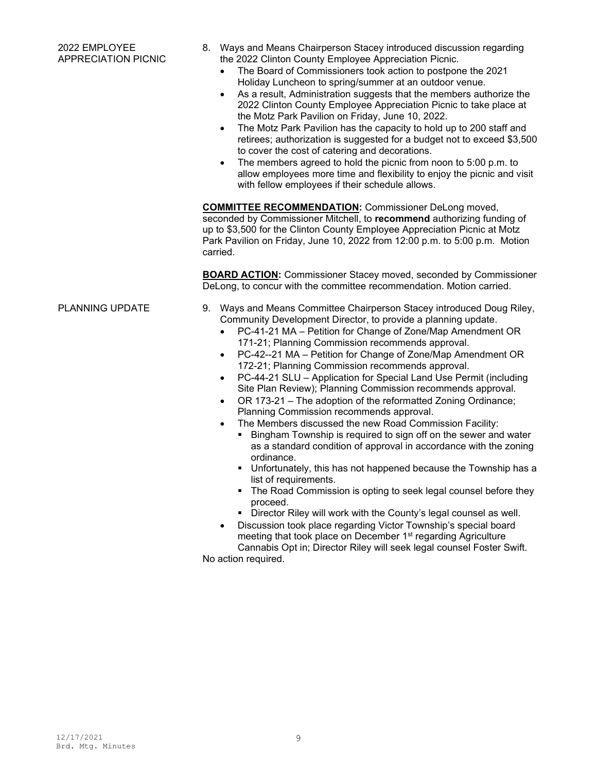- 8. Ways and Means Chairperson Stacey introduced discussion regarding the 2022 Clinton County Employee Appreciation Picnic.
	- The Board of Commissioners took action to postpone the 2021 Holiday Luncheon to spring/summer at an outdoor venue.
	- As a result, Administration suggests that the members authorize the 2022 Clinton County Employee Appreciation Picnic to take place at the Motz Park Pavilion on Friday, June 10, 2022.
	- The Motz Park Pavilion has the capacity to hold up to 200 staff and retirees; authorization is suggested for a budget not to exceed \$3,500 to cover the cost of catering and decorations.
	- The members agreed to hold the picnic from noon to 5:00 p.m. to allow employees more time and flexibility to enjoy the picnic and visit with fellow employees if their schedule allows.

**COMMITTEE RECOMMENDATION:** Commissioner DeLong moved, seconded by Commissioner Mitchell, to **recommend** authorizing funding of up to \$3,500 for the Clinton County Employee Appreciation Picnic at Motz Park Pavilion on Friday, June 10, 2022 from 12:00 p.m. to 5:00 p.m. Motion carried.

**BOARD ACTION:** Commissioner Stacey moved, seconded by Commissioner DeLong, to concur with the committee recommendation. Motion carried.

- PLANNING UPDATE 9. Ways and Means Committee Chairperson Stacey introduced Doug Riley, Community Development Director, to provide a planning update.
	- PC-41-21 MA Petition for Change of Zone/Map Amendment OR 171-21; Planning Commission recommends approval.
	- PC-42--21 MA Petition for Change of Zone/Map Amendment OR 172-21; Planning Commission recommends approval.
	- PC-44-21 SLU Application for Special Land Use Permit (including Site Plan Review); Planning Commission recommends approval.
	- OR 173-21 The adoption of the reformatted Zoning Ordinance; Planning Commission recommends approval.
	- The Members discussed the new Road Commission Facility:
		- **Bingham Township is required to sign off on the sewer and water** as a standard condition of approval in accordance with the zoning ordinance.
		- **Unfortunately, this has not happened because the Township has a** list of requirements.
		- The Road Commission is opting to seek legal counsel before they proceed.
		- **Director Riley will work with the County's legal counsel as well.**
	- Discussion took place regarding Victor Township's special board meeting that took place on December 1<sup>st</sup> regarding Agriculture Cannabis Opt in; Director Riley will seek legal counsel Foster Swift.

No action required.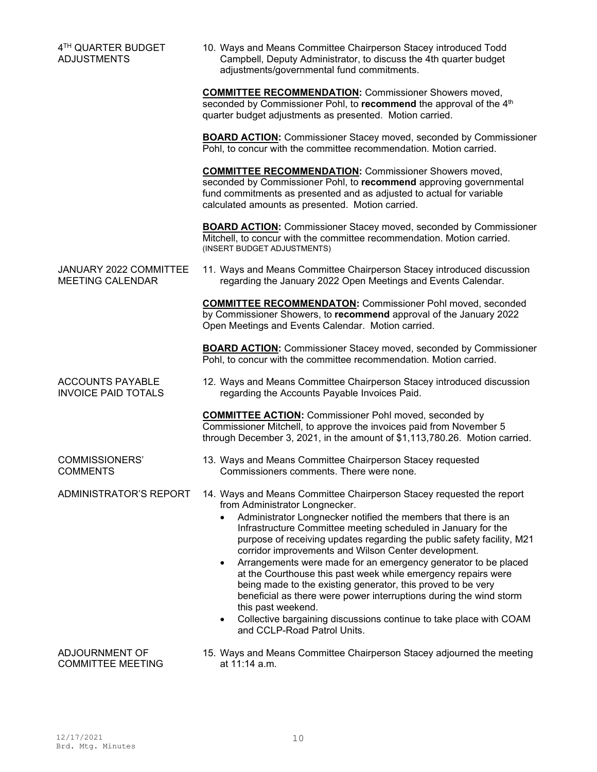| 4TH QUARTER BUDGET<br><b>ADJUSTMENTS</b>              | 10. Ways and Means Committee Chairperson Stacey introduced Todd<br>Campbell, Deputy Administrator, to discuss the 4th quarter budget<br>adjustments/governmental fund commitments.                                                                                                                                                                                                                                                                                                                                                                                                                                                                                                                                                                                              |  |  |
|-------------------------------------------------------|---------------------------------------------------------------------------------------------------------------------------------------------------------------------------------------------------------------------------------------------------------------------------------------------------------------------------------------------------------------------------------------------------------------------------------------------------------------------------------------------------------------------------------------------------------------------------------------------------------------------------------------------------------------------------------------------------------------------------------------------------------------------------------|--|--|
|                                                       | <b>COMMITTEE RECOMMENDATION:</b> Commissioner Showers moved,<br>seconded by Commissioner Pohl, to recommend the approval of the 4 <sup>th</sup><br>quarter budget adjustments as presented. Motion carried.                                                                                                                                                                                                                                                                                                                                                                                                                                                                                                                                                                     |  |  |
|                                                       | <b>BOARD ACTION:</b> Commissioner Stacey moved, seconded by Commissioner<br>Pohl, to concur with the committee recommendation. Motion carried.                                                                                                                                                                                                                                                                                                                                                                                                                                                                                                                                                                                                                                  |  |  |
|                                                       | <b>COMMITTEE RECOMMENDATION:</b> Commissioner Showers moved,<br>seconded by Commissioner Pohl, to recommend approving governmental<br>fund commitments as presented and as adjusted to actual for variable<br>calculated amounts as presented. Motion carried.                                                                                                                                                                                                                                                                                                                                                                                                                                                                                                                  |  |  |
|                                                       | <b>BOARD ACTION:</b> Commissioner Stacey moved, seconded by Commissioner<br>Mitchell, to concur with the committee recommendation. Motion carried.<br>(INSERT BUDGET ADJUSTMENTS)                                                                                                                                                                                                                                                                                                                                                                                                                                                                                                                                                                                               |  |  |
| JANUARY 2022 COMMITTEE<br><b>MEETING CALENDAR</b>     | 11. Ways and Means Committee Chairperson Stacey introduced discussion<br>regarding the January 2022 Open Meetings and Events Calendar.                                                                                                                                                                                                                                                                                                                                                                                                                                                                                                                                                                                                                                          |  |  |
|                                                       | <b>COMMITTEE RECOMMENDATON: Commissioner Pohl moved, seconded</b><br>by Commissioner Showers, to recommend approval of the January 2022<br>Open Meetings and Events Calendar. Motion carried.                                                                                                                                                                                                                                                                                                                                                                                                                                                                                                                                                                                   |  |  |
|                                                       | <b>BOARD ACTION:</b> Commissioner Stacey moved, seconded by Commissioner<br>Pohl, to concur with the committee recommendation. Motion carried.                                                                                                                                                                                                                                                                                                                                                                                                                                                                                                                                                                                                                                  |  |  |
| <b>ACCOUNTS PAYABLE</b><br><b>INVOICE PAID TOTALS</b> | 12. Ways and Means Committee Chairperson Stacey introduced discussion<br>regarding the Accounts Payable Invoices Paid.                                                                                                                                                                                                                                                                                                                                                                                                                                                                                                                                                                                                                                                          |  |  |
|                                                       | <b>COMMITTEE ACTION: Commissioner Pohl moved, seconded by</b><br>Commissioner Mitchell, to approve the invoices paid from November 5<br>through December 3, 2021, in the amount of \$1,113,780.26. Motion carried.                                                                                                                                                                                                                                                                                                                                                                                                                                                                                                                                                              |  |  |
| <b>COMMISSIONERS'</b><br><b>COMMENTS</b>              | 13. Ways and Means Committee Chairperson Stacey requested<br>Commissioners comments. There were none.                                                                                                                                                                                                                                                                                                                                                                                                                                                                                                                                                                                                                                                                           |  |  |
| ADMINISTRATOR'S REPORT                                | 14. Ways and Means Committee Chairperson Stacey requested the report<br>from Administrator Longnecker.<br>Administrator Longnecker notified the members that there is an<br>Infrastructure Committee meeting scheduled in January for the<br>purpose of receiving updates regarding the public safety facility, M21<br>corridor improvements and Wilson Center development.<br>Arrangements were made for an emergency generator to be placed<br>at the Courthouse this past week while emergency repairs were<br>being made to the existing generator, this proved to be very<br>beneficial as there were power interruptions during the wind storm<br>this past weekend.<br>Collective bargaining discussions continue to take place with COAM<br>and CCLP-Road Patrol Units. |  |  |
| ADJOURNMENT OF<br><b>COMMITTEE MEETING</b>            | 15. Ways and Means Committee Chairperson Stacey adjourned the meeting<br>at 11:14 a.m.                                                                                                                                                                                                                                                                                                                                                                                                                                                                                                                                                                                                                                                                                          |  |  |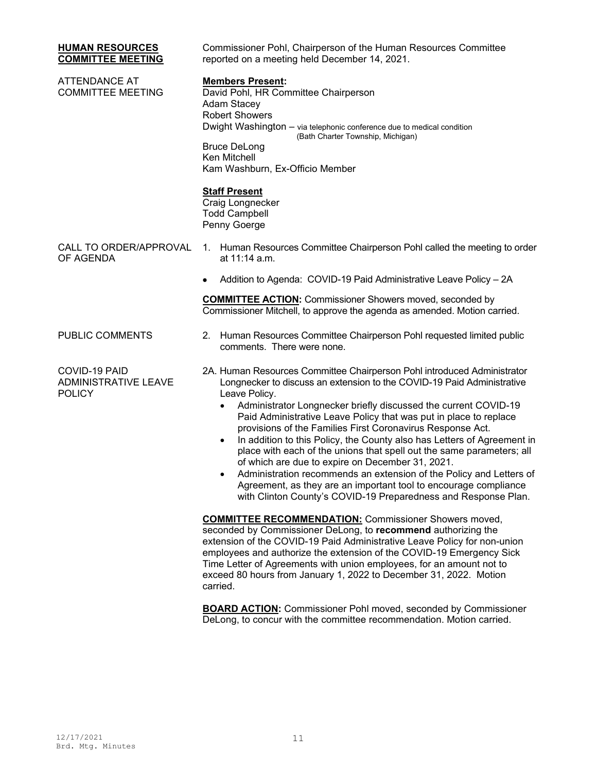| <b>HUMAN RESOURCES</b><br><b>COMMITTEE MEETING</b>            | Commissioner Pohl, Chairperson of the Human Resources Committee<br>reported on a meeting held December 14, 2021.                                                                                                                                                                                                                                                                                                                                                                                                                                                                                                                                                                                                                                                                                                        |  |
|---------------------------------------------------------------|-------------------------------------------------------------------------------------------------------------------------------------------------------------------------------------------------------------------------------------------------------------------------------------------------------------------------------------------------------------------------------------------------------------------------------------------------------------------------------------------------------------------------------------------------------------------------------------------------------------------------------------------------------------------------------------------------------------------------------------------------------------------------------------------------------------------------|--|
| <b>ATTENDANCE AT</b><br><b>COMMITTEE MEETING</b>              | <b>Members Present:</b><br>David Pohl, HR Committee Chairperson<br><b>Adam Stacey</b><br><b>Robert Showers</b><br>Dwight Washington - via telephonic conference due to medical condition<br>(Bath Charter Township, Michigan)<br><b>Bruce DeLong</b><br>Ken Mitchell<br>Kam Washburn, Ex-Officio Member                                                                                                                                                                                                                                                                                                                                                                                                                                                                                                                 |  |
|                                                               | <b>Staff Present</b><br>Craig Longnecker<br><b>Todd Campbell</b><br>Penny Goerge                                                                                                                                                                                                                                                                                                                                                                                                                                                                                                                                                                                                                                                                                                                                        |  |
| CALL TO ORDER/APPROVAL<br>OF AGENDA                           | 1. Human Resources Committee Chairperson Pohl called the meeting to order<br>at 11:14 a.m.                                                                                                                                                                                                                                                                                                                                                                                                                                                                                                                                                                                                                                                                                                                              |  |
|                                                               | Addition to Agenda: COVID-19 Paid Administrative Leave Policy - 2A                                                                                                                                                                                                                                                                                                                                                                                                                                                                                                                                                                                                                                                                                                                                                      |  |
|                                                               | <b>COMMITTEE ACTION:</b> Commissioner Showers moved, seconded by<br>Commissioner Mitchell, to approve the agenda as amended. Motion carried.                                                                                                                                                                                                                                                                                                                                                                                                                                                                                                                                                                                                                                                                            |  |
| PUBLIC COMMENTS                                               | Human Resources Committee Chairperson Pohl requested limited public<br>2.<br>comments. There were none.                                                                                                                                                                                                                                                                                                                                                                                                                                                                                                                                                                                                                                                                                                                 |  |
| COVID-19 PAID<br><b>ADMINISTRATIVE LEAVE</b><br><b>POLICY</b> | 2A. Human Resources Committee Chairperson Pohl introduced Administrator<br>Longnecker to discuss an extension to the COVID-19 Paid Administrative<br>Leave Policy.<br>Administrator Longnecker briefly discussed the current COVID-19<br>Paid Administrative Leave Policy that was put in place to replace<br>provisions of the Families First Coronavirus Response Act.<br>In addition to this Policy, the County also has Letters of Agreement in<br>$\bullet$<br>place with each of the unions that spell out the same parameters; all<br>of which are due to expire on December 31, 2021.<br>Administration recommends an extension of the Policy and Letters of<br>$\bullet$<br>Agreement, as they are an important tool to encourage compliance<br>with Clinton County's COVID-19 Preparedness and Response Plan. |  |
|                                                               | <b>COMMITTEE RECOMMENDATION:</b> Commissioner Showers moved,<br>seconded by Commissioner DeLong, to recommend authorizing the<br>extension of the COVID-19 Paid Administrative Leave Policy for non-union<br>employees and authorize the extension of the COVID-19 Emergency Sick<br>Time Letter of Agreements with union employees, for an amount not to<br>exceed 80 hours from January 1, 2022 to December 31, 2022. Motion<br>carried.                                                                                                                                                                                                                                                                                                                                                                              |  |
|                                                               | <b>BOARD ACTION:</b> Commissioner Pohl moved seconded by Commissioner                                                                                                                                                                                                                                                                                                                                                                                                                                                                                                                                                                                                                                                                                                                                                   |  |

**BOARD ACTION:** Commissioner Pohl moved, seconded by Commissioner DeLong, to concur with the committee recommendation. Motion carried.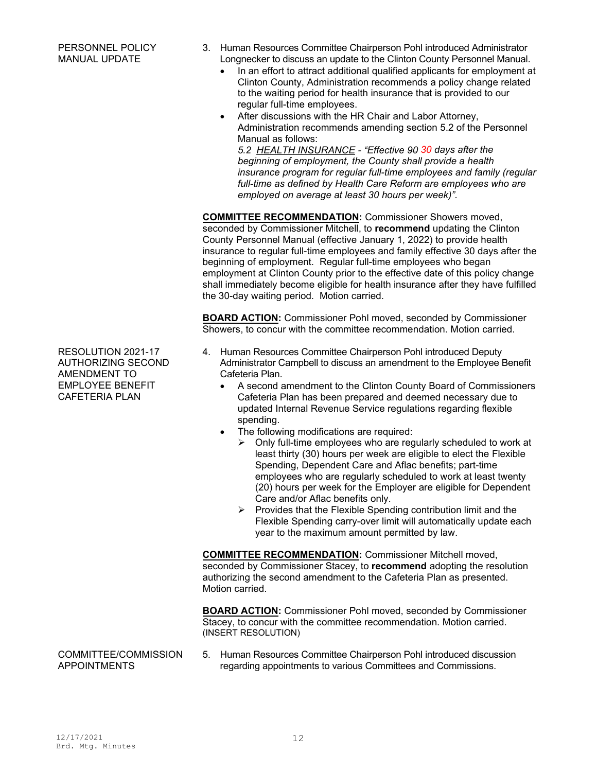- 3. Human Resources Committee Chairperson Pohl introduced Administrator Longnecker to discuss an update to the Clinton County Personnel Manual.
	- In an effort to attract additional qualified applicants for employment at Clinton County, Administration recommends a policy change related to the waiting period for health insurance that is provided to our regular full-time employees.
	- After discussions with the HR Chair and Labor Attorney, Administration recommends amending section 5.2 of the Personnel Manual as follows:

*5.2 HEALTH INSURANCE - "Effective 90 30 days after the beginning of employment, the County shall provide a health insurance program for regular full-time employees and family (regular full-time as defined by Health Care Reform are employees who are employed on average at least 30 hours per week)".* 

**COMMITTEE RECOMMENDATION:** Commissioner Showers moved, seconded by Commissioner Mitchell, to **recommend** updating the Clinton County Personnel Manual (effective January 1, 2022) to provide health insurance to regular full-time employees and family effective 30 days after the beginning of employment. Regular full-time employees who began employment at Clinton County prior to the effective date of this policy change shall immediately become eligible for health insurance after they have fulfilled the 30-day waiting period. Motion carried.

**BOARD ACTION:** Commissioner Pohl moved, seconded by Commissioner Showers, to concur with the committee recommendation. Motion carried.

- 4. Human Resources Committee Chairperson Pohl introduced Deputy Administrator Campbell to discuss an amendment to the Employee Benefit Cafeteria Plan.
	- A second amendment to the Clinton County Board of Commissioners Cafeteria Plan has been prepared and deemed necessary due to updated Internal Revenue Service regulations regarding flexible spending.
	- The following modifications are required:
		- Only full-time employees who are regularly scheduled to work at least thirty (30) hours per week are eligible to elect the Flexible Spending, Dependent Care and Aflac benefits; part-time employees who are regularly scheduled to work at least twenty (20) hours per week for the Employer are eligible for Dependent Care and/or Aflac benefits only.
		- $\triangleright$  Provides that the Flexible Spending contribution limit and the Flexible Spending carry-over limit will automatically update each year to the maximum amount permitted by law.

**COMMITTEE RECOMMENDATION:** Commissioner Mitchell moved, seconded by Commissioner Stacey, to **recommend** adopting the resolution authorizing the second amendment to the Cafeteria Plan as presented. Motion carried.

**BOARD ACTION:** Commissioner Pohl moved, seconded by Commissioner Stacey, to concur with the committee recommendation. Motion carried. (INSERT RESOLUTION)

5. Human Resources Committee Chairperson Pohl introduced discussion regarding appointments to various Committees and Commissions.

RESOLUTION 2021-17 AUTHORIZING SECOND AMENDMENT TO EMPLOYEE BENEFIT CAFETERIA PLAN

# COMMITTEE/COMMISSION APPOINTMENTS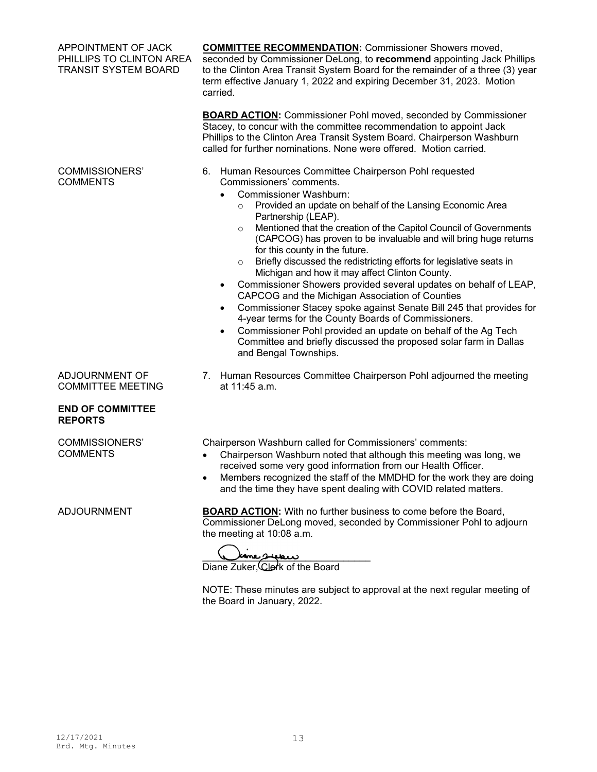| APPOINTMENT OF JACK<br>PHILLIPS TO CLINTON AREA<br><b>TRANSIT SYSTEM BOARD</b> | <b>COMMITTEE RECOMMENDATION:</b> Commissioner Showers moved,<br>seconded by Commissioner DeLong, to recommend appointing Jack Phillips<br>to the Clinton Area Transit System Board for the remainder of a three (3) year<br>term effective January 1, 2022 and expiring December 31, 2023. Motion<br>carried.<br><b>BOARD ACTION:</b> Commissioner Pohl moved, seconded by Commissioner<br>Stacey, to concur with the committee recommendation to appoint Jack                                                                                                                                                                                                                                                                                                                                                                                                                                                                                                                                             |  |
|--------------------------------------------------------------------------------|------------------------------------------------------------------------------------------------------------------------------------------------------------------------------------------------------------------------------------------------------------------------------------------------------------------------------------------------------------------------------------------------------------------------------------------------------------------------------------------------------------------------------------------------------------------------------------------------------------------------------------------------------------------------------------------------------------------------------------------------------------------------------------------------------------------------------------------------------------------------------------------------------------------------------------------------------------------------------------------------------------|--|
|                                                                                | Phillips to the Clinton Area Transit System Board. Chairperson Washburn<br>called for further nominations. None were offered. Motion carried.                                                                                                                                                                                                                                                                                                                                                                                                                                                                                                                                                                                                                                                                                                                                                                                                                                                              |  |
| <b>COMMISSIONERS'</b><br><b>COMMENTS</b>                                       | 6. Human Resources Committee Chairperson Pohl requested<br>Commissioners' comments.<br><b>Commissioner Washburn:</b><br>Provided an update on behalf of the Lansing Economic Area<br>$\circ$<br>Partnership (LEAP).<br>Mentioned that the creation of the Capitol Council of Governments<br>$\circ$<br>(CAPCOG) has proven to be invaluable and will bring huge returns<br>for this county in the future.<br>Briefly discussed the redistricting efforts for legislative seats in<br>$\circ$<br>Michigan and how it may affect Clinton County.<br>Commissioner Showers provided several updates on behalf of LEAP,<br>$\bullet$<br>CAPCOG and the Michigan Association of Counties<br>Commissioner Stacey spoke against Senate Bill 245 that provides for<br>$\bullet$<br>4-year terms for the County Boards of Commissioners.<br>Commissioner Pohl provided an update on behalf of the Ag Tech<br>$\bullet$<br>Committee and briefly discussed the proposed solar farm in Dallas<br>and Bengal Townships. |  |
| ADJOURNMENT OF<br><b>COMMITTEE MEETING</b>                                     | 7. Human Resources Committee Chairperson Pohl adjourned the meeting<br>at 11:45 a.m.                                                                                                                                                                                                                                                                                                                                                                                                                                                                                                                                                                                                                                                                                                                                                                                                                                                                                                                       |  |
| <b>END OF COMMITTEE</b><br><b>REPORTS</b>                                      |                                                                                                                                                                                                                                                                                                                                                                                                                                                                                                                                                                                                                                                                                                                                                                                                                                                                                                                                                                                                            |  |
| <b>COMMISSIONERS'</b><br><b>COMMENTS</b>                                       | Chairperson Washburn called for Commissioners' comments:<br>Chairperson Washburn noted that although this meeting was long, we<br>received some very good information from our Health Officer.<br>Members recognized the staff of the MMDHD for the work they are doing<br>and the time they have spent dealing with COVID related matters.                                                                                                                                                                                                                                                                                                                                                                                                                                                                                                                                                                                                                                                                |  |
| <b>ADJOURNMENT</b>                                                             | <b>BOARD ACTION:</b> With no further business to come before the Board,<br>Commissioner DeLong moved, seconded by Commissioner Pohl to adjourn<br>the meeting at 10:08 a.m.<br>Diane Zuker, Clerk of the Board                                                                                                                                                                                                                                                                                                                                                                                                                                                                                                                                                                                                                                                                                                                                                                                             |  |

NOTE: These minutes are subject to approval at the next regular meeting of the Board in January, 2022.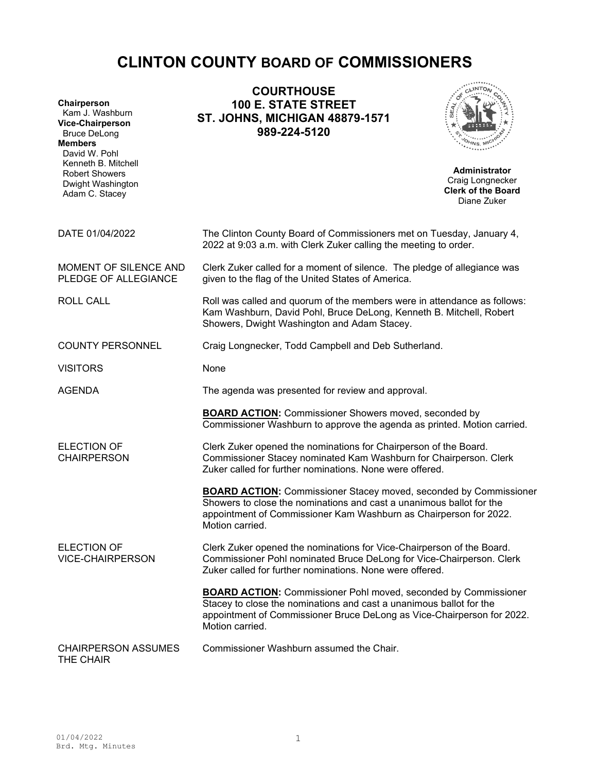# **CLINTON COUNTY BOARD OF COMMISSIONERS**

| Chairperson<br>Kam J. Washburn<br><b>Vice-Chairperson</b><br><b>Bruce DeLong</b><br><b>Members</b><br>David W. Pohl<br>Kenneth B. Mitchell<br><b>Robert Showers</b><br>Dwight Washington<br>Adam C. Stacey | <b>COURTHOUSE</b><br><b>100 E. STATE STREET</b><br><b>ST. JOHNS, MICHIGAN 48879-1571</b><br>989-224-5120                                                                                                                                   | <b>Administrator</b><br>Craig Longnecker<br><b>Clerk of the Board</b><br>Diane Zuker |
|------------------------------------------------------------------------------------------------------------------------------------------------------------------------------------------------------------|--------------------------------------------------------------------------------------------------------------------------------------------------------------------------------------------------------------------------------------------|--------------------------------------------------------------------------------------|
| DATE 01/04/2022                                                                                                                                                                                            | The Clinton County Board of Commissioners met on Tuesday, January 4,<br>2022 at 9:03 a.m. with Clerk Zuker calling the meeting to order.                                                                                                   |                                                                                      |
| MOMENT OF SILENCE AND<br>PLEDGE OF ALLEGIANCE                                                                                                                                                              | Clerk Zuker called for a moment of silence. The pledge of allegiance was<br>given to the flag of the United States of America.                                                                                                             |                                                                                      |
| <b>ROLL CALL</b>                                                                                                                                                                                           | Roll was called and quorum of the members were in attendance as follows:<br>Kam Washburn, David Pohl, Bruce DeLong, Kenneth B. Mitchell, Robert<br>Showers, Dwight Washington and Adam Stacey.                                             |                                                                                      |
| <b>COUNTY PERSONNEL</b><br>Craig Longnecker, Todd Campbell and Deb Sutherland.                                                                                                                             |                                                                                                                                                                                                                                            |                                                                                      |
| <b>VISITORS</b>                                                                                                                                                                                            | None                                                                                                                                                                                                                                       |                                                                                      |
| <b>AGENDA</b>                                                                                                                                                                                              | The agenda was presented for review and approval.                                                                                                                                                                                          |                                                                                      |
|                                                                                                                                                                                                            | <b>BOARD ACTION:</b> Commissioner Showers moved, seconded by<br>Commissioner Washburn to approve the agenda as printed. Motion carried.                                                                                                    |                                                                                      |
| <b>ELECTION OF</b><br><b>CHAIRPERSON</b>                                                                                                                                                                   | Clerk Zuker opened the nominations for Chairperson of the Board.<br>Commissioner Stacey nominated Kam Washburn for Chairperson. Clerk<br>Zuker called for further nominations. None were offered.                                          |                                                                                      |
|                                                                                                                                                                                                            | <b>BOARD ACTION:</b> Commissioner Stacey moved, seconded by Commissioner<br>Showers to close the nominations and cast a unanimous ballot for the<br>appointment of Commissioner Kam Washburn as Chairperson for 2022.<br>Motion carried.   |                                                                                      |
| <b>ELECTION OF</b><br><b>VICE-CHAIRPERSON</b>                                                                                                                                                              | Clerk Zuker opened the nominations for Vice-Chairperson of the Board.<br>Commissioner Pohl nominated Bruce DeLong for Vice-Chairperson. Clerk<br>Zuker called for further nominations. None were offered.                                  |                                                                                      |
|                                                                                                                                                                                                            | <b>BOARD ACTION:</b> Commissioner Pohl moved, seconded by Commissioner<br>Stacey to close the nominations and cast a unanimous ballot for the<br>appointment of Commissioner Bruce DeLong as Vice-Chairperson for 2022.<br>Motion carried. |                                                                                      |
| Commissioner Washburn assumed the Chair.<br><b>CHAIRPERSON ASSUMES</b><br>THE CHAIR                                                                                                                        |                                                                                                                                                                                                                                            |                                                                                      |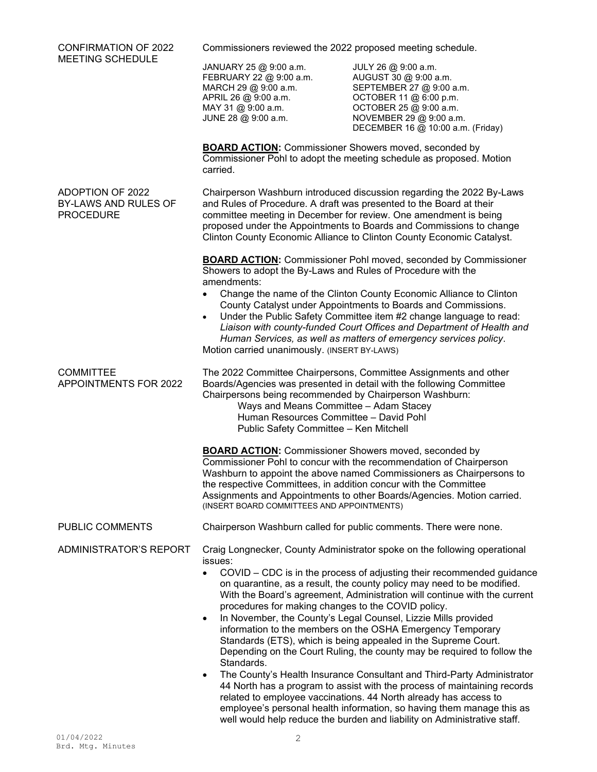| <b>CONFIRMATION OF 2022</b>                                                                                                                                                                                                                                                                                                                                                    | Commissioners reviewed the 2022 proposed meeting schedule.                                                                                                                                                                                                                                                                                                                                                                                                                                                                                                                                                                                                                                                                                                                                                                                                                                                                                                                                          |                                                                                                                                                                                              |  |
|--------------------------------------------------------------------------------------------------------------------------------------------------------------------------------------------------------------------------------------------------------------------------------------------------------------------------------------------------------------------------------|-----------------------------------------------------------------------------------------------------------------------------------------------------------------------------------------------------------------------------------------------------------------------------------------------------------------------------------------------------------------------------------------------------------------------------------------------------------------------------------------------------------------------------------------------------------------------------------------------------------------------------------------------------------------------------------------------------------------------------------------------------------------------------------------------------------------------------------------------------------------------------------------------------------------------------------------------------------------------------------------------------|----------------------------------------------------------------------------------------------------------------------------------------------------------------------------------------------|--|
| <b>MEETING SCHEDULE</b>                                                                                                                                                                                                                                                                                                                                                        | JANUARY 25 @ 9:00 a.m.<br>FEBRUARY 22 @ 9:00 a.m.<br>MARCH 29 @ 9:00 a.m.<br>APRIL 26 @ 9:00 a.m.<br>MAY 31 @ 9:00 a.m.<br>JUNE 28 @ 9:00 a.m.                                                                                                                                                                                                                                                                                                                                                                                                                                                                                                                                                                                                                                                                                                                                                                                                                                                      | JULY 26 @ 9:00 a.m.<br>AUGUST 30 @ 9:00 a.m.<br>SEPTEMBER 27 @ 9:00 a.m.<br>OCTOBER 11 @ 6:00 p.m.<br>OCTOBER 25 @ 9:00 a.m.<br>NOVEMBER 29 @ 9:00 a.m.<br>DECEMBER 16 @ 10:00 a.m. (Friday) |  |
|                                                                                                                                                                                                                                                                                                                                                                                | <b>BOARD ACTION:</b> Commissioner Showers moved, seconded by<br>carried.                                                                                                                                                                                                                                                                                                                                                                                                                                                                                                                                                                                                                                                                                                                                                                                                                                                                                                                            | Commissioner Pohl to adopt the meeting schedule as proposed. Motion                                                                                                                          |  |
| <b>ADOPTION OF 2022</b><br>BY-LAWS AND RULES OF<br><b>PROCEDURE</b>                                                                                                                                                                                                                                                                                                            | Chairperson Washburn introduced discussion regarding the 2022 By-Laws<br>and Rules of Procedure. A draft was presented to the Board at their<br>committee meeting in December for review. One amendment is being<br>proposed under the Appointments to Boards and Commissions to change<br>Clinton County Economic Alliance to Clinton County Economic Catalyst.                                                                                                                                                                                                                                                                                                                                                                                                                                                                                                                                                                                                                                    |                                                                                                                                                                                              |  |
|                                                                                                                                                                                                                                                                                                                                                                                | <b>BOARD ACTION:</b> Commissioner Pohl moved, seconded by Commissioner<br>Showers to adopt the By-Laws and Rules of Procedure with the                                                                                                                                                                                                                                                                                                                                                                                                                                                                                                                                                                                                                                                                                                                                                                                                                                                              |                                                                                                                                                                                              |  |
|                                                                                                                                                                                                                                                                                                                                                                                | amendments:<br>Change the name of the Clinton County Economic Alliance to Clinton<br>County Catalyst under Appointments to Boards and Commissions.<br>Under the Public Safety Committee item #2 change language to read:<br>Liaison with county-funded Court Offices and Department of Health and<br>Human Services, as well as matters of emergency services policy.<br>Motion carried unanimously. (INSERT BY-LAWS)                                                                                                                                                                                                                                                                                                                                                                                                                                                                                                                                                                               |                                                                                                                                                                                              |  |
| <b>COMMITTEE</b><br>The 2022 Committee Chairpersons, Committee Assignments and other<br>APPOINTMENTS FOR 2022<br>Boards/Agencies was presented in detail with the following Committee<br>Chairpersons being recommended by Chairperson Washburn:<br>Ways and Means Committee - Adam Stacey<br>Human Resources Committee - David Pohl<br>Public Safety Committee - Ken Mitchell |                                                                                                                                                                                                                                                                                                                                                                                                                                                                                                                                                                                                                                                                                                                                                                                                                                                                                                                                                                                                     |                                                                                                                                                                                              |  |
|                                                                                                                                                                                                                                                                                                                                                                                | <b>BOARD ACTION:</b> Commissioner Showers moved, seconded by<br>Commissioner Pohl to concur with the recommendation of Chairperson<br>Washburn to appoint the above named Commissioners as Chairpersons to<br>the respective Committees, in addition concur with the Committee<br>Assignments and Appointments to other Boards/Agencies. Motion carried.<br>(INSERT BOARD COMMITTEES AND APPOINTMENTS)                                                                                                                                                                                                                                                                                                                                                                                                                                                                                                                                                                                              |                                                                                                                                                                                              |  |
| PUBLIC COMMENTS                                                                                                                                                                                                                                                                                                                                                                |                                                                                                                                                                                                                                                                                                                                                                                                                                                                                                                                                                                                                                                                                                                                                                                                                                                                                                                                                                                                     | Chairperson Washburn called for public comments. There were none.                                                                                                                            |  |
| ADMINISTRATOR'S REPORT                                                                                                                                                                                                                                                                                                                                                         | Craig Longnecker, County Administrator spoke on the following operational<br>issues:                                                                                                                                                                                                                                                                                                                                                                                                                                                                                                                                                                                                                                                                                                                                                                                                                                                                                                                |                                                                                                                                                                                              |  |
|                                                                                                                                                                                                                                                                                                                                                                                | COVID – CDC is in the process of adjusting their recommended guidance<br>$\bullet$<br>on quarantine, as a result, the county policy may need to be modified.<br>With the Board's agreement, Administration will continue with the current<br>procedures for making changes to the COVID policy.<br>In November, the County's Legal Counsel, Lizzie Mills provided<br>$\bullet$<br>information to the members on the OSHA Emergency Temporary<br>Standards (ETS), which is being appealed in the Supreme Court.<br>Depending on the Court Ruling, the county may be required to follow the<br>Standards.<br>The County's Health Insurance Consultant and Third-Party Administrator<br>$\bullet$<br>44 North has a program to assist with the process of maintaining records<br>related to employee vaccinations. 44 North already has access to<br>employee's personal health information, so having them manage this as<br>well would help reduce the burden and liability on Administrative staff. |                                                                                                                                                                                              |  |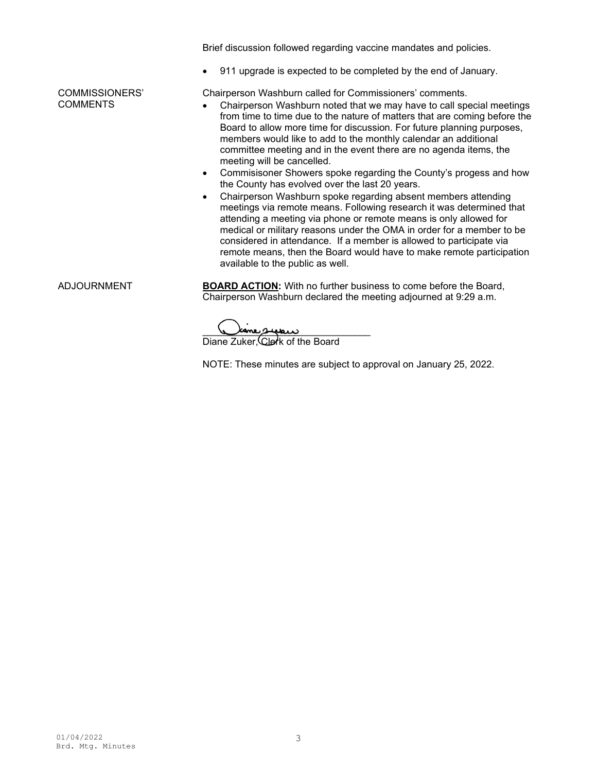Brief discussion followed regarding vaccine mandates and policies.

• 911 upgrade is expected to be completed by the end of January.

Chairperson Washburn called for Commissioners' comments.

- Chairperson Washburn noted that we may have to call special meetings from time to time due to the nature of matters that are coming before the Board to allow more time for discussion. For future planning purposes, members would like to add to the monthly calendar an additional committee meeting and in the event there are no agenda items, the meeting will be cancelled.
- Commisisoner Showers spoke regarding the County's progess and how the County has evolved over the last 20 years.
- Chairperson Washburn spoke regarding absent members attending meetings via remote means. Following research it was determined that attending a meeting via phone or remote means is only allowed for medical or military reasons under the OMA in order for a member to be considered in attendance. If a member is allowed to participate via remote means, then the Board would have to make remote participation available to the public as well.

COMMISSIONERS' **COMMENTS** 

ADJOURNMENT **BOARD ACTION:** With no further business to come before the Board, Chairperson Washburn declared the meeting adjourned at 9:29 a.m.

ينطبص

Diane Zuker, Clerk of the Board

NOTE: These minutes are subject to approval on January 25, 2022.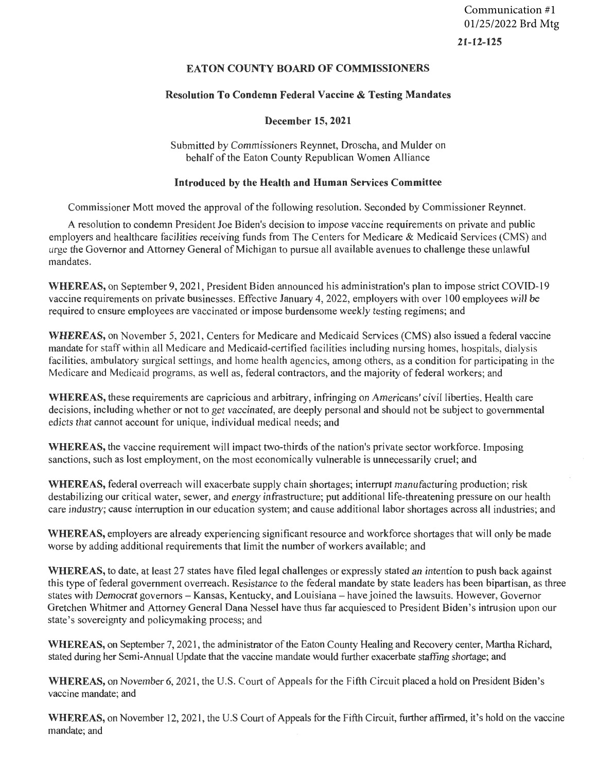21-12-125 Communication #1 01/25/2022 Brd Mtg

# EATON COUNTY BOARD OF COMMISSIONERS

# Resolution To Condemn Federal Vaccine & Testing Mandates

## December 15,2021

Submitted by Commissioners Reyrinet, Droscha, and Mulder on behalf of the Eaton County Republican Women Alliance

## Introduced by the Health and Human Services Committee

Commissioner Mott moved the approval of the following resolution. Seconded by Commissioner Reynnet.

A resolution to condemn President Joe Eiden's decision to impose vaccine requirements on private and public employers and healthcare facilities receiving funds from The Centers for Medicare & Medicaid Services (CMS) and urge the Governor and Attorney General of Michigan to pursue all available avenues to challenge these unlawful mandates.

WHEREAS, on September 9, 2021, President Biden announced his administration's plan to impose strict COVID-19 vaccine requirements on private businesses. Effective January 4, 2022, employers with over 100 employees will be required to ensure employees are vaccinated or impose burdensome weekly testing regimens; and

WHEREAS, on November 5, 2021, Centers for Medicare and Medicaid Services (CMS) also issued a federal vaccine mandate for staff within all Medicare and Medicaid-certified facilities including nursing homes, hospitals, dialysis facilities, ambulatory surgical settings, and home health agencies, among others, as a condition for participating in the Medicare and Medicaid programs, as well as, federal contractors, and the majority of federal workers; and

WHEREAS, these requirements are capricious and arbitrary, infringing on Americans' civil liberties. Health care decisions, including whether or not to get vaccinated, are deeply personal and should not be subject to governmental edicts that cannot account for unique, individual medical needs; and

WHEREAS, the vaccine requirement will impact two-thirds of the nation's private sector workforce. Imposing sanctions, such as lost employment, on the most economically vulnerable is unnecessarily cruel; and

WHEREAS, federal overreach will exacerbate supply chain shortages; interrupt manufacturing production; risk destabilizing our critical water, sewer, and energy infrastructure; put additional life-threatening pressure on our health care industry; cause interruption in our education system; and cause additional labor shortages across all industries; and

WHEREAS, employers are already experiencing significant resource and workforce shortages that will only be made worse by adding additional requirements that limit the number of workers available; and

WHEREAS, to date, at least 27 states have filed legal challenges or expressly stated an intention to push back against this type of federal government overreach. Resistance to the federal mandate by state leaders has been bipartisan, as three states with Democrat governors - Kansas, Kentucky, and Louisiana - have joined the lawsuits. However, Governor Gretchen Whitmer and Attorney General Dana Nessel have thus far acquiesced to President Eiden's intrusion upon our state's sovereignty and policymaking process; and

WHEREAS, on September 7, 2021, the administrator of the Eaton County Healing and Recovery center, Martha Richard, stated during her Semi-Annual Update that the vaccine mandate would further exacerbate staffing shortage; and

WHEREAS, on November 6, 2021, the U.S. Court of Appeals for the Fifth Circuit placed a hold on President Eiden's vaccine mandate; and

WHEREAS, on November 12, 2021, the U.S Court of Appeals for the Fifth Circuit, further affirmed, it's hold on the vaccine mandate; and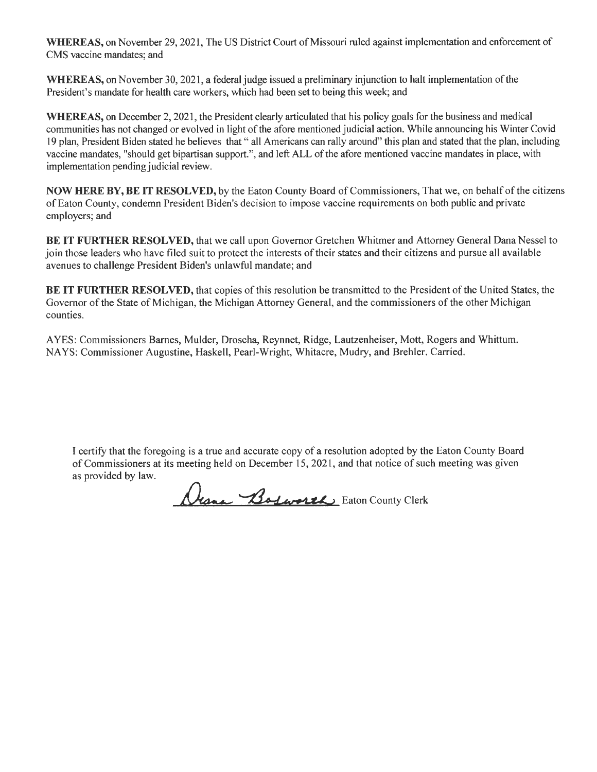WHEREAS, on November 29, 2021, The US District Court of Missouri ruled against implementation and enforcement of CMS vaccine mandates; and

**WHEREAS,** on November 30,2021, a federal judge issued a preliminary injunction to halt implementation of the President's mandate for health care workers, which had been set to being this week; and

WHEREAS, on December 2, 2021, the President clearly articulated that his policy goals for the business and medical communities has not changed or evolved in light of the afore mentioned judicial action. While announcing his Winter Covid 19 plan, President Biden stated he believes that " all Americans can rally around" this plan and stated that the plan, including vaccine mandates, "should get bipartisan support.", and left ALL of the afore mentioned vaccine mandates in place, with implementation pending judicial review.

**NOW HERE BY, BE IT RESOLVED,** by the Eaton County Board of Commissioners, That we, on behalf of the citizens of Eaton County, condemn President Biden's decision to impose vaccine requirements on both public and private employers; and

**BE IT FURTHER RESOLVED,** that we call upon Governor Gretchen Whitmer and Attorney General Dana Nessel to join those leaders who have filed suit to protect the interests of their states and their citizens and pursue all available avenues to challenge President Biden's unlawful mandate; and

**BE IT FURTHER RESOLVED,** that copies of this resolution be transmitted to the President of the United States, the Governor of the State of Michigan, the Michigan Attorney General, and the commissioners of the other Michigan counties.

A YES: Commissioners Barnes, Mulder, Droscha, Reynnet, Ridge, Lautzenheiser, Mott, Rogers and Whittum. NAYS: Commissioner Augustine, Haskell, Pearl-Wright, Whitacre, Mudry, and Brehler. Carried.

I certify that the foregoing is a true and accurate copy of a resolution adopted by the Eaton County Board of Commissioners at its meeting held on December 15, 2021 , and that notice of such meeting was given as provided by law.

Drama Bosworth Eaton County Clerk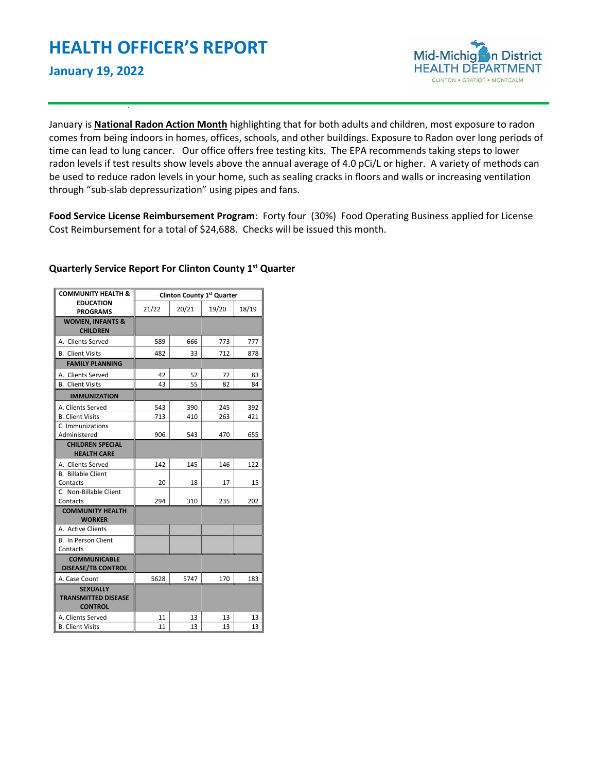

January is **National Radon Action Month** highlighting that for both adults and children, most exposure to radon comes from being indoors in homes, offices, schools, and other buildings. Exposure to Radon over long periods of time can lead to lung cancer. Our office offers free testing kits. The EPA recommends taking steps to lower radon levels if test results show levels above the annual average of 4.0 pCi/L or higher. A variety of methods can be used to reduce radon levels in your home, such as sealing cracks in floors and walls or increasing ventilation through "sub-slab depressurization" using pipes and fans.

**Food Service License Reimbursement Program**: Forty four (30%) Food Operating Business applied for License Cost Reimbursement for a total of \$24,688. Checks will be issued this month.

| <b>COMMUNITY HEALTH &amp;</b>                                   | Clinton County 1st Quarter |       |       |       |  |  |
|-----------------------------------------------------------------|----------------------------|-------|-------|-------|--|--|
| <b>EDUCATION</b><br><b>PROGRAMS</b>                             | 21/22                      | 20/21 | 19/20 | 18/19 |  |  |
| <b>WOMEN, INFANTS &amp;</b><br><b>CHILDREN</b>                  |                            |       |       |       |  |  |
| A. Clients Served                                               | 589                        | 666   | 773   | 777   |  |  |
| <b>B.</b> Client Visits                                         | 482                        | 33    | 712   | 878   |  |  |
| <b>FAMILY PLANNING</b>                                          |                            |       |       |       |  |  |
| A. Clients Served                                               | 42                         | 52    | 72    | 83    |  |  |
| <b>B.</b> Client Visits                                         | 43                         | 55    | 82    | 84    |  |  |
| <b>IMMUNIZATION</b>                                             |                            |       |       |       |  |  |
| A. Clients Served                                               | 543                        | 390   | 245   | 392   |  |  |
| <b>B. Client Visits</b>                                         | 713                        | 410   | 263   | 421   |  |  |
| C. Immunizations                                                |                            |       |       |       |  |  |
| Administered                                                    | 906                        | 543   | 470   | 655   |  |  |
| <b>CHILDREN SPECIAL</b>                                         |                            |       |       |       |  |  |
| <b>HEALTH CARE</b>                                              |                            |       |       |       |  |  |
| A. Clients Served                                               | 142                        | 145   | 146   | 122   |  |  |
| <b>B.</b> Billable Client                                       |                            |       |       |       |  |  |
| Contacts                                                        | 20                         | 18    | 17    | 15    |  |  |
| C. Non-Billable Client                                          |                            |       |       |       |  |  |
| Contacts                                                        | 294                        | 310   | 235   | 202   |  |  |
| <b>COMMUNITY HEALTH</b><br><b>WORKER</b>                        |                            |       |       |       |  |  |
| A. Active Clients                                               |                            |       |       |       |  |  |
| <b>B.</b> In Person Client                                      |                            |       |       |       |  |  |
| Contacts                                                        |                            |       |       |       |  |  |
| <b>COMMUNICABLE</b><br><b>DISEASE/TB CONTROL</b>                |                            |       |       |       |  |  |
| A. Case Count                                                   | 5628                       | 5747  | 170   | 183   |  |  |
| <b>SEXUALLY</b><br><b>TRANSMITTED DISEASE</b><br><b>CONTROL</b> |                            |       |       |       |  |  |
| A. Clients Served                                               | 11                         | 13    | 13    | 13    |  |  |
| <b>B. Client Visits</b>                                         | 11                         | 13    | 13    | 13    |  |  |

# **Quarterly Service Report For Clinton County 1st Quarter**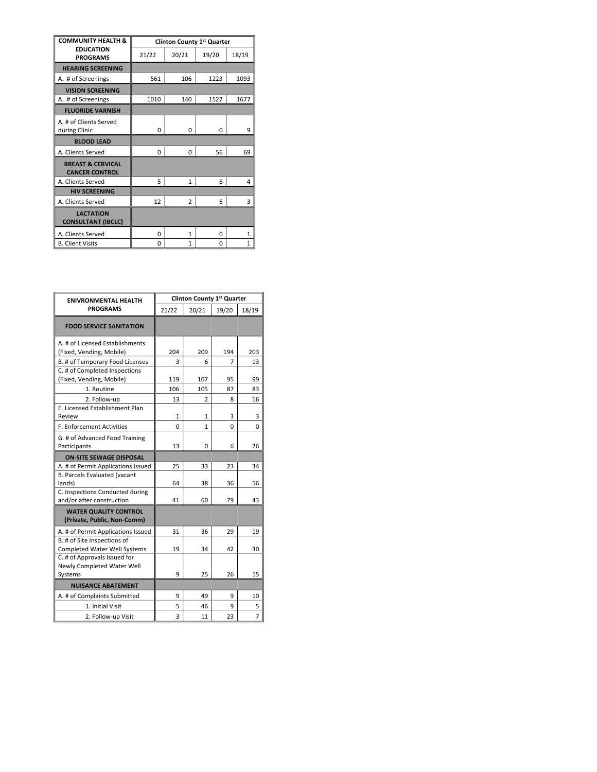| <b>COMMUNITY HEALTH &amp;</b><br><b>EDUCATION</b><br><b>PROGRAMS</b> | Clinton County 1st Quarter |                |       |              |  |
|----------------------------------------------------------------------|----------------------------|----------------|-------|--------------|--|
|                                                                      | 21/22                      | 20/21          | 19/20 | 18/19        |  |
| <b>HEARING SCREENING</b>                                             |                            |                |       |              |  |
| A. # of Screenings                                                   | 561                        | 106            | 1223  | 1093         |  |
| <b>VISION SCREENING</b>                                              |                            |                |       |              |  |
| A. # of Screenings                                                   | 1010                       | 140            | 1527  | 1677         |  |
| <b>FLUORIDE VARNISH</b>                                              |                            |                |       |              |  |
| A. # of Clients Served<br>during Clinic                              | 0                          | $\Omega$       | 0     | 9            |  |
| <b>BLOOD LEAD</b>                                                    |                            |                |       |              |  |
| A. Clients Served                                                    | 0                          | $\Omega$       | 56    | 69           |  |
| <b>BREAST &amp; CERVICAL</b><br><b>CANCER CONTROL</b>                |                            |                |       |              |  |
| A. Clients Served                                                    | 5                          | $\mathbf{1}$   | 6     | 4            |  |
| <b>HIV SCREENING</b>                                                 |                            |                |       |              |  |
| A. Clients Served                                                    | 12                         | $\overline{2}$ | 6     | 3            |  |
| <b>LACTATION</b><br><b>CONSULTANT (IBCLC)</b>                        |                            |                |       |              |  |
| A. Clients Served                                                    | 0                          | $\mathbf{1}$   | 0     | 1            |  |
| <b>B. Client Visits</b>                                              | 0                          | $\mathbf{1}$   | 0     | $\mathbf{1}$ |  |

| <b>ENIVRONMENTAL HEALTH</b>                                        | Clinton County 1st Quarter |                     |        |                |  |
|--------------------------------------------------------------------|----------------------------|---------------------|--------|----------------|--|
| <b>PROGRAMS</b>                                                    | 21/22                      | 20/21               | 19/20  | 18/19          |  |
| <b>FOOD SERVICE SANITATION</b>                                     |                            |                     |        |                |  |
| A. # of Licensed Establishments<br>(Fixed, Vending, Mobile)        | 204                        | 209                 | 194    | 203            |  |
| B. # of Temporary Food Licenses<br>C. # of Completed Inspections   | 3                          | 6                   | 7      | 13             |  |
| (Fixed, Vending, Mobile)                                           | 119                        | 107                 | 95     | 99             |  |
| 1. Routine                                                         | 106                        | 105                 | 87     | 83             |  |
| 2. Follow-up<br>E. Licensed Establishment Plan<br>Review           | 13<br>$\mathbf{1}$         | $\overline{2}$<br>1 | 8<br>3 | 16<br>3        |  |
| <b>F. Enforcement Activities</b>                                   | 0                          | $\mathbf{1}$        | 0      | 0              |  |
| G. # of Advanced Food Training<br>Participants                     | 13                         | 0                   | 6      | 26             |  |
| <b>ON-SITE SEWAGE DISPOSAL</b>                                     |                            |                     |        |                |  |
| A. # of Permit Applications Issued                                 | 25                         | 33                  | 23     | 34             |  |
| <b>B. Parcels Evaluated (vacant</b><br>lands)                      | 64                         | 38                  | 36     | 56             |  |
| C. Inspections Conducted during<br>and/or after construction       | 41                         | 60                  | 79     | 43             |  |
| <b>WATER QUALITY CONTROL</b><br>(Private, Public, Non-Comm)        |                            |                     |        |                |  |
| A. # of Permit Applications Issued                                 | 31                         | 36                  | 29     | 19             |  |
| B. # of Site Inspections of<br><b>Completed Water Well Systems</b> | 19                         | 34                  | 42     | 30             |  |
| C. # of Approvals Issued for<br>Newly Completed Water Well         |                            |                     |        |                |  |
| Systems                                                            | 9                          | 25                  | 26     | 15             |  |
| <b>NUISANCE ABATEMENT</b>                                          |                            |                     |        |                |  |
| A. # of Complaints Submitted                                       | 9                          | 49                  | 9      | 10             |  |
| 1. Initial Visit                                                   | 5                          | 46                  | 9      | 5              |  |
| 2. Follow-up Visit                                                 | 3                          | 11                  | 23     | $\overline{7}$ |  |